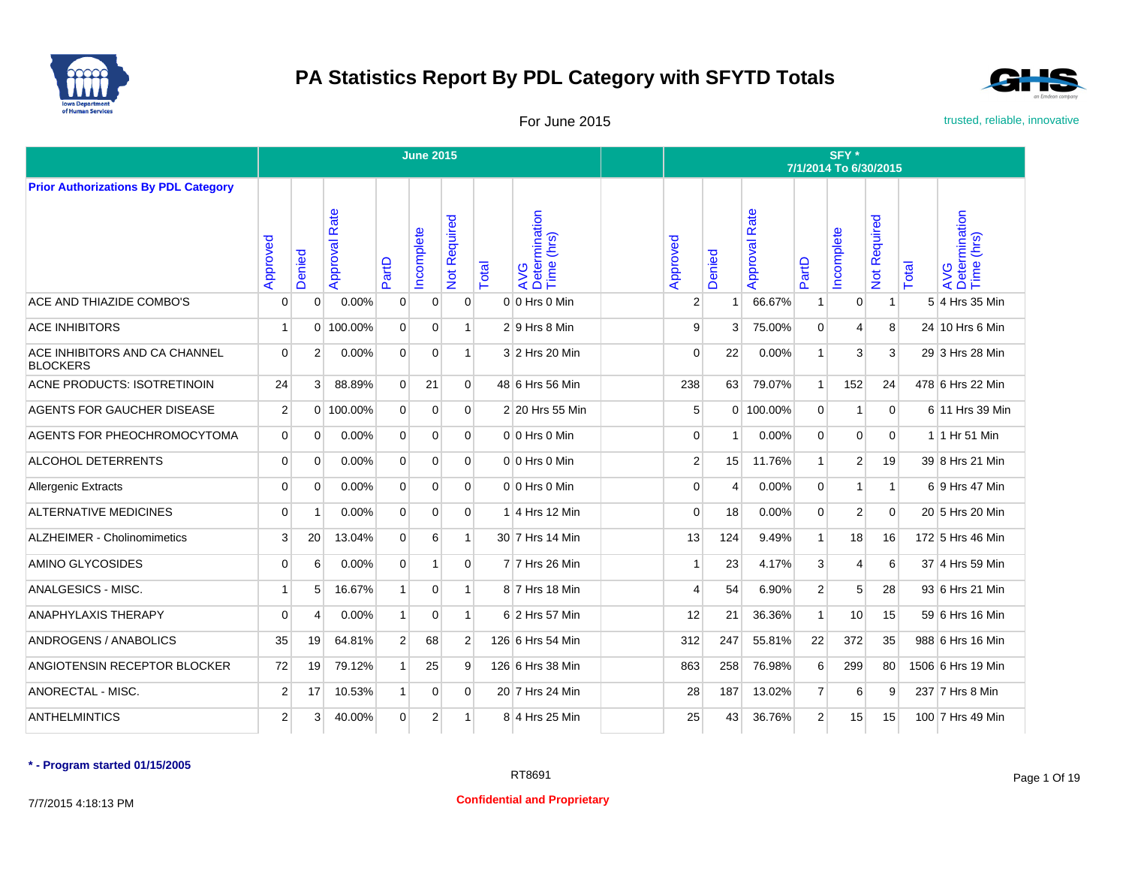



For June 2015 **For June 2015** trusted, reliable, innovative

|                                                  |                |                |                  |                | <b>June 2015</b> |                |       |                                    |                |        |                      |                | SFY*<br>7/1/2014 To 6/30/2015 |              |       |                                    |
|--------------------------------------------------|----------------|----------------|------------------|----------------|------------------|----------------|-------|------------------------------------|----------------|--------|----------------------|----------------|-------------------------------|--------------|-------|------------------------------------|
| <b>Prior Authorizations By PDL Category</b>      |                |                |                  |                |                  |                |       |                                    |                |        |                      |                |                               |              |       |                                    |
|                                                  | Approved       | Denied         | Rate<br>Approval | PartD          | ncomplete        | Not Required   | Total | AVG<br>Determination<br>Time (hrs) | Approved       | Denied | <b>Approval Rate</b> | PartD          | ncomplete                     | Not Required | Total | AVG<br>Determination<br>Time (hrs) |
| ACE AND THIAZIDE COMBO'S                         | $\Omega$       | $\Omega$       | 0.00%            | $\overline{0}$ | $\mathbf 0$      | $\mathbf{0}$   |       | 0 0 Hrs 0 Min                      | $\overline{2}$ | 1      | 66.67%               | $\overline{1}$ | $\mathbf 0$                   | $\mathbf{1}$ |       | 5 4 Hrs 35 Min                     |
| <b>ACE INHIBITORS</b>                            | -1             | $\Omega$       | 100.00%          | $\Omega$       | $\Omega$         | $\mathbf{1}$   |       | $2 9$ Hrs 8 Min                    | 9              | 3      | 75.00%               | $\Omega$       | 4                             | 8            |       | 24 10 Hrs 6 Min                    |
| ACE INHIBITORS AND CA CHANNEL<br><b>BLOCKERS</b> | $\Omega$       | $\overline{2}$ | 0.00%            | $\overline{0}$ | $\mathbf 0$      | $\mathbf{1}$   |       | 3 2 Hrs 20 Min                     | $\Omega$       | 22     | 0.00%                | $\mathbf{1}$   | 3                             | 3            |       | 29 3 Hrs 28 Min                    |
| <b>ACNE PRODUCTS: ISOTRETINOIN</b>               | 24             | 3              | 88.89%           | $\overline{0}$ | 21               | $\Omega$       |       | 48 6 Hrs 56 Min                    | 238            | 63     | 79.07%               | $\mathbf{1}$   | 152                           | 24           |       | 478 6 Hrs 22 Min                   |
| AGENTS FOR GAUCHER DISEASE                       | $\overline{2}$ |                | $0$ 100.00%      | $\Omega$       | $\Omega$         | $\Omega$       |       | 2 20 Hrs 55 Min                    | 5              |        | 0 100.00%            | $\Omega$       | 1                             | $\Omega$     |       | 6 11 Hrs 39 Min                    |
| AGENTS FOR PHEOCHROMOCYTOMA                      | $\Omega$       | $\Omega$       | 0.00%            | $\Omega$       | $\Omega$         | $\Omega$       |       | $0 0$ Hrs $0$ Min                  | $\Omega$       | 1      | 0.00%                | $\Omega$       | $\Omega$                      | $\Omega$     |       | 1 1 Hr 51 Min                      |
| <b>ALCOHOL DETERRENTS</b>                        | $\Omega$       | $\Omega$       | 0.00%            | $\Omega$       | $\Omega$         | $\Omega$       |       | $0 0$ Hrs $0$ Min                  | $\overline{2}$ | 15     | 11.76%               | $\mathbf{1}$   | $\overline{2}$                | 19           |       | 39 8 Hrs 21 Min                    |
| <b>Allergenic Extracts</b>                       | $\Omega$       | $\Omega$       | 0.00%            | $\overline{0}$ | $\Omega$         | $\Omega$       |       | $0 0$ Hrs $0$ Min                  | $\Omega$       | 4      | 0.00%                | $\mathbf 0$    | 1                             | $\mathbf{1}$ |       | 6 9 Hrs 47 Min                     |
| <b>ALTERNATIVE MEDICINES</b>                     | $\Omega$       | -1             | 0.00%            | $\Omega$       | $\Omega$         | $\Omega$       |       | $1$ 4 Hrs 12 Min                   | $\Omega$       | 18     | 0.00%                | $\Omega$       | 2                             | $\Omega$     |       | 20 5 Hrs 20 Min                    |
| <b>ALZHEIMER - Cholinomimetics</b>               | 3              | 20             | 13.04%           | $\Omega$       | 6                | $\mathbf{1}$   |       | 30 7 Hrs 14 Min                    | 13             | 124    | 9.49%                | $\mathbf{1}$   | 18                            | 16           |       | 172 5 Hrs 46 Min                   |
| AMINO GLYCOSIDES                                 | $\Omega$       | 6              | 0.00%            | $\Omega$       | 1                | $\Omega$       |       | 7 7 Hrs 26 Min                     |                | 23     | 4.17%                | $\mathbf{3}$   | 4                             | 6            |       | 37 4 Hrs 59 Min                    |
| ANALGESICS - MISC.                               | $\overline{1}$ | 5              | 16.67%           | $\mathbf{1}$   | $\mathbf 0$      | $\mathbf{1}$   |       | 8 7 Hrs 18 Min                     | $\overline{4}$ | 54     | 6.90%                | 2 <sup>1</sup> | 5                             | 28           |       | 93 6 Hrs 21 Min                    |
| <b>ANAPHYLAXIS THERAPY</b>                       | $\overline{0}$ | 4              | 0.00%            | 1 <sup>1</sup> | $\mathbf 0$      | 1              |       | 6 2 Hrs 57 Min                     | 12             | 21     | 36.36%               | $\mathbf{1}$   | 10                            | 15           |       | 59 6 Hrs 16 Min                    |
| ANDROGENS / ANABOLICS                            | 35             | 19             | 64.81%           | 2 <sup>1</sup> | 68               | 2              |       | 126 6 Hrs 54 Min                   | 312            | 247    | 55.81%               | 22             | 372                           | 35           |       | 988 6 Hrs 16 Min                   |
| ANGIOTENSIN RECEPTOR BLOCKER                     | 72             | 19             | 79.12%           | $\mathbf{1}$   | 25               | 9              |       | 126 6 Hrs 38 Min                   | 863            | 258    | 76.98%               | $6 \mid$       | 299                           | 80           |       | 1506 6 Hrs 19 Min                  |
| ANORECTAL - MISC.                                | $\overline{2}$ | 17             | 10.53%           | $\mathbf{1}$   | $\mathbf 0$      | $\overline{0}$ |       | 20 7 Hrs 24 Min                    | 28             | 187    | 13.02%               | $\overline{7}$ | 6                             | 9            |       | 237 7 Hrs 8 Min                    |
| <b>ANTHELMINTICS</b>                             | $\overline{2}$ | 3              | 40.00%           | $\overline{0}$ | 2                | $\mathbf{1}$   |       | 8 4 Hrs 25 Min                     | 25             | 43     | 36.76%               | $\overline{2}$ | 15                            | 15           |       | 100 7 Hrs 49 Min                   |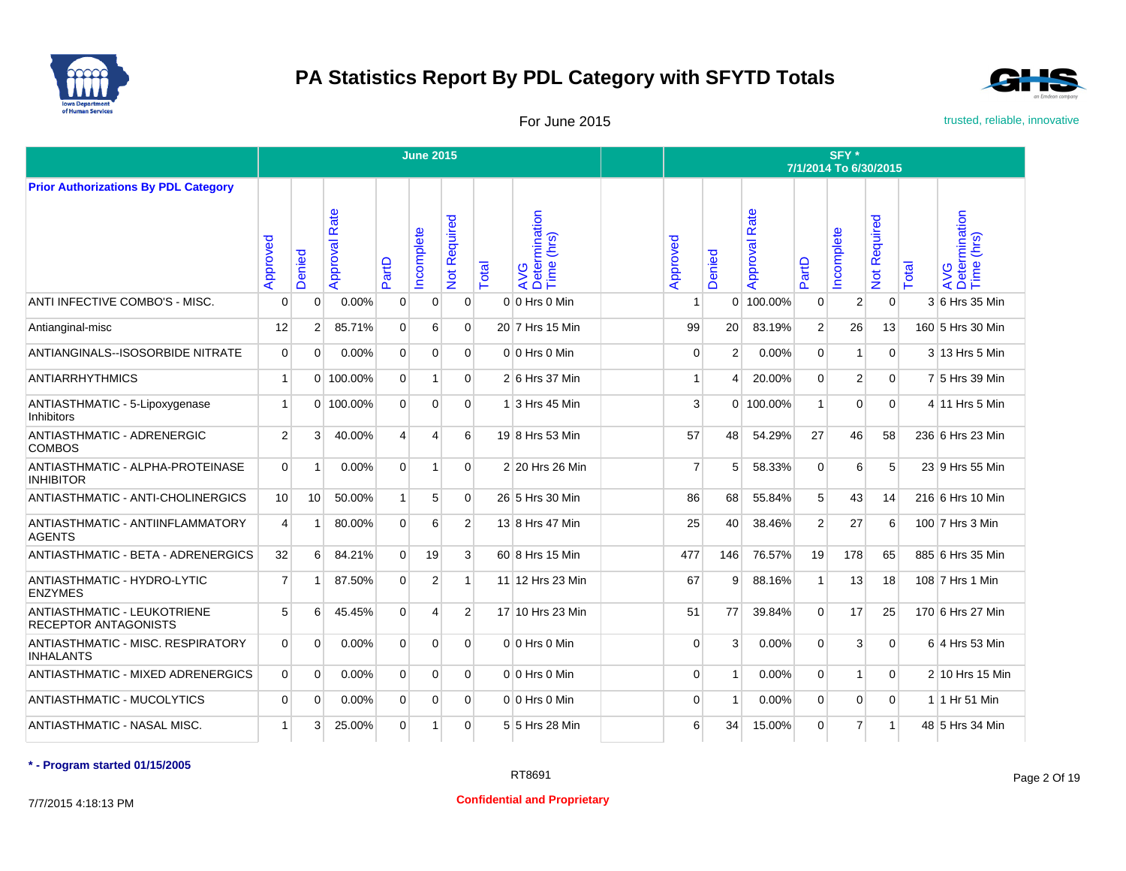



For June 2015 **For June 2015** trusted, reliable, innovative

|                                                                   |                |                |                  |                | <b>June 2015</b> |                   |       |                                    |                |                |                      |                | SFY*<br>7/1/2014 To 6/30/2015 |                   |       |                                    |
|-------------------------------------------------------------------|----------------|----------------|------------------|----------------|------------------|-------------------|-------|------------------------------------|----------------|----------------|----------------------|----------------|-------------------------------|-------------------|-------|------------------------------------|
| <b>Prior Authorizations By PDL Category</b>                       |                |                |                  |                |                  |                   |       |                                    |                |                |                      |                |                               |                   |       |                                    |
|                                                                   | Approved       | Denied         | Rate<br>Approval | PartD          | ncomplete        | equired<br>Not Re | Total | AVG<br>Determination<br>Time (hrs) | Approved       | Denied         | <b>Approval Rate</b> | PartD          | ncomplete                     | equired<br>Not Re | Total | AVG<br>Determination<br>Time (hrs) |
| ANTI INFECTIVE COMBO'S - MISC.                                    | 0              | 0              | 0.00%            | 0              | 0                | $\mathbf{0}$      |       | 0 0 Hrs 0 Min                      |                | $\overline{0}$ | 100.00%              | $\mathbf 0$    | $\overline{2}$                | $\mathbf{0}$      |       | 3 6 Hrs 35 Min                     |
| Antianginal-misc                                                  | 12             | 2              | 85.71%           | $\Omega$       | 6                | $\Omega$          |       | 20 7 Hrs 15 Min                    | 99             | 20             | 83.19%               | $\overline{2}$ | 26                            | 13                |       | 160 5 Hrs 30 Min                   |
| <b>ANTIANGINALS--ISOSORBIDE NITRATE</b>                           | $\Omega$       | $\Omega$       | 0.00%            | $\Omega$       | $\Omega$         | $\Omega$          |       | 0 0 Hrs 0 Min                      | $\Omega$       | $\overline{2}$ | 0.00%                | $\mathbf{0}$   | 1                             | $\Omega$          |       | 3 13 Hrs 5 Min                     |
| <b>ANTIARRHYTHMICS</b>                                            | 1              |                | 0 100.00%        | $\overline{0}$ | 1                | $\Omega$          |       | 2 6 Hrs 37 Min                     |                | 4              | 20.00%               | $\Omega$       | 2                             | $\mathbf{0}$      |       | 7 5 Hrs 39 Min                     |
| ANTIASTHMATIC - 5-Lipoxygenase<br><b>Inhibitors</b>               | 1              |                | 0 100.00%        | $\overline{0}$ | 0                | $\mathbf{0}$      |       | 1 3 Hrs 45 Min                     | 3              |                | 0 100.00%            | 1              | $\mathbf 0$                   | $\mathbf 0$       |       | 4 11 Hrs 5 Min                     |
| ANTIASTHMATIC - ADRENERGIC<br><b>COMBOS</b>                       | $\overline{2}$ | 3              | 40.00%           | $\overline{4}$ | 4                | 6                 |       | 19 8 Hrs 53 Min                    | 57             | 48             | 54.29%               | 27             | 46                            | 58                |       | 236 6 Hrs 23 Min                   |
| ANTIASTHMATIC - ALPHA-PROTEINASE<br><b>INHIBITOR</b>              | 0              | -1             | 0.00%            | $\overline{0}$ | 1                | $\mathbf{0}$      |       | 2 20 Hrs 26 Min                    | 7              | 5              | 58.33%               | $\mathbf 0$    | 6                             | 5                 |       | 23 9 Hrs 55 Min                    |
| ANTIASTHMATIC - ANTI-CHOLINERGICS                                 | 10             | 10             | 50.00%           | 1              | 5                | $\Omega$          |       | 26 5 Hrs 30 Min                    | 86             | 68             | 55.84%               | 5              | 43                            | 14                |       | 216 6 Hrs 10 Min                   |
| ANTIASTHMATIC - ANTIINFLAMMATORY<br><b>AGENTS</b>                 | 4              | $\overline{1}$ | 80.00%           | $\overline{0}$ | 6                | $\overline{2}$    |       | 13 8 Hrs 47 Min                    | 25             | 40             | 38.46%               | 2              | 27                            | 6                 |       | 100 7 Hrs 3 Min                    |
| <b>ANTIASTHMATIC - BETA - ADRENERGICS</b>                         | 32             | 6              | 84.21%           | $\Omega$       | 19               | 3                 |       | 60 8 Hrs 15 Min                    | 477            | 146            | 76.57%               | 19             | 178                           | 65                |       | 885 6 Hrs 35 Min                   |
| ANTIASTHMATIC - HYDRO-LYTIC<br><b>ENZYMES</b>                     | 7              | $\overline{1}$ | 87.50%           | $\overline{0}$ | $\overline{2}$   | 1                 |       | 11 12 Hrs 23 Min                   | 67             | 9              | 88.16%               | $\mathbf{1}$   | 13                            | 18                |       | 108 7 Hrs 1 Min                    |
| <b>ANTIASTHMATIC - LEUKOTRIENE</b><br><b>RECEPTOR ANTAGONISTS</b> | 5              | 6              | 45.45%           | $\overline{0}$ | 4                | $\overline{2}$    |       | 17 10 Hrs 23 Min                   | 51             | 77             | 39.84%               | $\mathbf{0}$   | 17                            | 25                |       | 170 6 Hrs 27 Min                   |
| ANTIASTHMATIC - MISC. RESPIRATORY<br><b>INHALANTS</b>             | 0              | $\Omega$       | 0.00%            | $\overline{0}$ | 0                | $\Omega$          |       | 0 0 Hrs 0 Min                      | $\Omega$       | 3              | 0.00%                | $\mathbf 0$    | 3                             | $\mathbf 0$       |       | 6 4 Hrs 53 Min                     |
| <b>ANTIASTHMATIC - MIXED ADRENERGICS</b>                          | $\overline{0}$ | $\Omega$       | 0.00%            | $\overline{0}$ | $\overline{0}$   | $\Omega$          |       | 0 0 Hrs 0 Min                      | $\Omega$       | 1              | 0.00%                | $\mathbf 0$    | 1                             | $\mathbf{0}$      |       | 2 10 Hrs 15 Min                    |
| <b>ANTIASTHMATIC - MUCOLYTICS</b>                                 | $\mathbf 0$    | 0              | 0.00%            | $\overline{0}$ | $\overline{0}$   | $\mathbf{0}$      |       | 0 0 Hrs 0 Min                      | $\mathbf 0$    | 1              | 0.00%                | $\mathbf{0}$   | $\mathbf 0$                   | $\mathbf{0}$      |       | 1 1 Hr 51 Min                      |
| ANTIASTHMATIC - NASAL MISC.                                       | 1              | 3              | 25.00%           | $\overline{0}$ | $\mathbf{1}$     | $\Omega$          |       | 5 5 Hrs 28 Min                     | 6 <sub>1</sub> | 34             | 15.00%               | $\Omega$       | $\overline{7}$                | $\mathbf{1}$      |       | 48 5 Hrs 34 Min                    |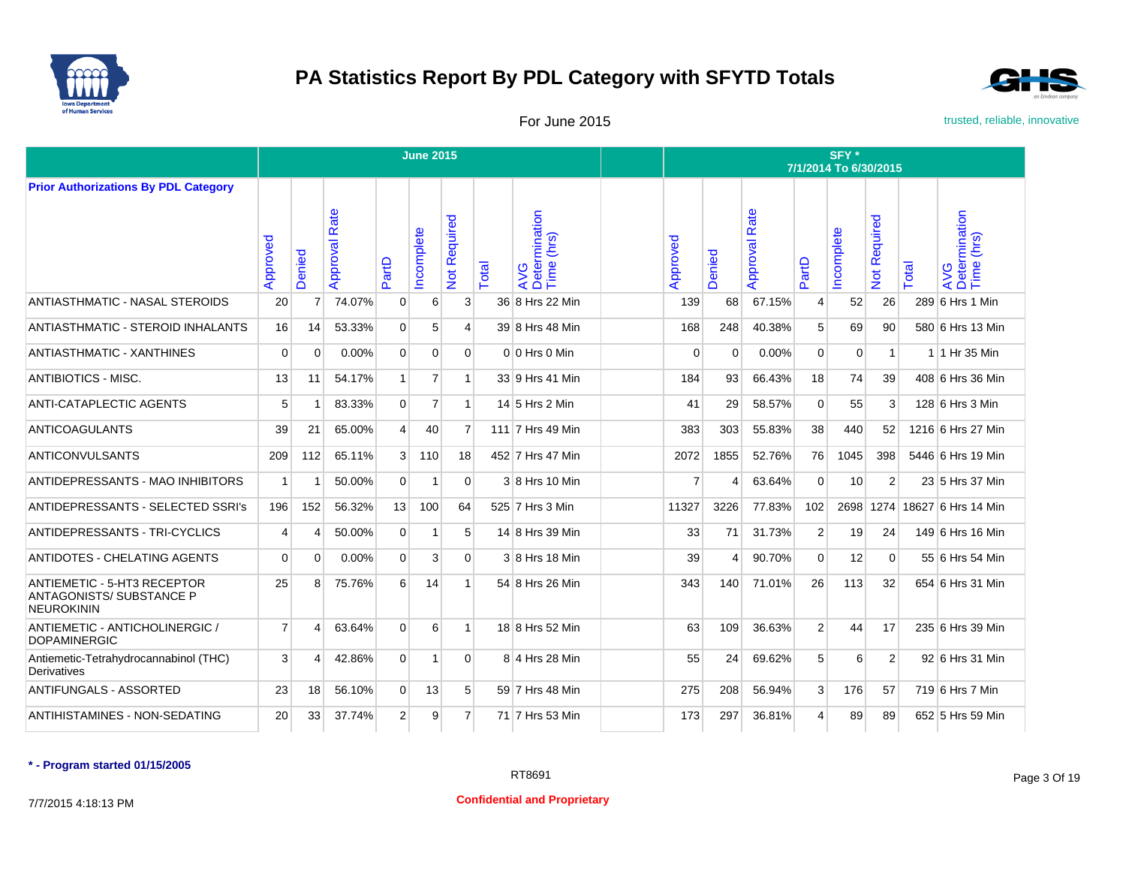



For June 2015 **For June 2015** trusted, reliable, innovative

|                                                                                     |                |                |                  |                | <b>June 2015</b> |                     |       |                                    |                |                |                      |                | SFY <sup>*</sup><br>7/1/2014 To 6/30/2015 |                                                        |       |                                    |
|-------------------------------------------------------------------------------------|----------------|----------------|------------------|----------------|------------------|---------------------|-------|------------------------------------|----------------|----------------|----------------------|----------------|-------------------------------------------|--------------------------------------------------------|-------|------------------------------------|
| <b>Prior Authorizations By PDL Category</b>                                         |                |                |                  |                |                  |                     |       |                                    |                |                |                      |                |                                           |                                                        |       |                                    |
|                                                                                     | Approved       | Denied         | Rate<br>Approval | PartD          | ncomplete        | <b>Not Required</b> | Total | AVG<br>Determination<br>Time (hrs) | Approved       | enied<br>◠     | <b>Approval Rate</b> | PartD          | Incomplete                                | equired<br>$\tilde{\alpha}$<br>$\overline{\mathbf{o}}$ | Total | AVG<br>Determination<br>Time (hrs) |
| ANTIASTHMATIC - NASAL STEROIDS                                                      | 20             | $\overline{7}$ | 74.07%           | $\mathbf 0$    | 6                | 3                   |       | 36 8 Hrs 22 Min                    | 139            | 68             | 67.15%               | $\overline{4}$ | 52                                        | 26                                                     |       | 289 6 Hrs 1 Min                    |
| ANTIASTHMATIC - STEROID INHALANTS                                                   | 16             | 14             | 53.33%           | $\Omega$       | 5                | 4                   |       | 39 8 Hrs 48 Min                    | 168            | 248            | 40.38%               | 5              | 69                                        | 90                                                     |       | 580 6 Hrs 13 Min                   |
| <b>ANTIASTHMATIC - XANTHINES</b>                                                    | $\Omega$       | $\Omega$       | 0.00%            | $\Omega$       | $\Omega$         | $\Omega$            |       | 0 0 Hrs 0 Min                      | $\Omega$       | $\Omega$       | 0.00%                | $\Omega$       | $\Omega$                                  | $\mathbf{1}$                                           |       | 1 1 Hr 35 Min                      |
| <b>ANTIBIOTICS - MISC.</b>                                                          | 13             | 11             | 54.17%           | 1              | $\overline{7}$   | 1 <sup>1</sup>      |       | 33 9 Hrs 41 Min                    | 184            | 93             | 66.43%               | 18             | 74                                        | 39                                                     |       | 408 6 Hrs 36 Min                   |
| <b>ANTI-CATAPLECTIC AGENTS</b>                                                      | 5              |                | 83.33%           | $\overline{0}$ | $\overline{7}$   | $\mathbf{1}$        |       | 14 5 Hrs 2 Min                     | 41             | 29             | 58.57%               | $\mathbf 0$    | 55                                        | 3                                                      |       | 128 6 Hrs 3 Min                    |
| <b>ANTICOAGULANTS</b>                                                               | 39             | 21             | 65.00%           | $\overline{4}$ | 40               | $\overline{7}$      |       | 111 7 Hrs 49 Min                   | 383            | 303            | 55.83%               | 38             | 440                                       | 52                                                     |       | 1216 6 Hrs 27 Min                  |
| <b>ANTICONVULSANTS</b>                                                              | 209            | 112            | 65.11%           | 3 <sup>1</sup> | 110              | 18                  |       | 452 7 Hrs 47 Min                   | 2072           | 1855           | 52.76%               | 76             | 1045                                      | 398                                                    |       | 5446 6 Hrs 19 Min                  |
| ANTIDEPRESSANTS - MAO INHIBITORS                                                    | $\mathbf{1}$   |                | 50.00%           | $\overline{0}$ | $\mathbf{1}$     | $\overline{0}$      |       | 3 8 Hrs 10 Min                     | $\overline{7}$ | 4              | 63.64%               | $\mathbf 0$    | 10                                        | $\overline{2}$                                         |       | 23 5 Hrs 37 Min                    |
| <b>ANTIDEPRESSANTS - SELECTED SSRI's</b>                                            | 196            | 152            | 56.32%           | 13             | 100              | 64                  |       | 525 7 Hrs 3 Min                    | 11327          | 3226           | 77.83%               | 102            |                                           |                                                        |       | 2698 1274 18627 6 Hrs 14 Min       |
| ANTIDEPRESSANTS - TRI-CYCLICS                                                       | 4              | 4              | 50.00%           | $\mathbf 0$    | 1                | 5                   |       | 14 8 Hrs 39 Min                    | 33             | 71             | 31.73%               | $\overline{2}$ | 19                                        | 24                                                     |       | 149 6 Hrs 16 Min                   |
| <b>ANTIDOTES - CHELATING AGENTS</b>                                                 | $\Omega$       | $\Omega$       | 0.00%            | $\Omega$       | 3                | $\Omega$            |       | 3 8 Hrs 18 Min                     | 39             | $\overline{4}$ | 90.70%               | $\Omega$       | 12                                        | $\Omega$                                               |       | 55 6 Hrs 54 Min                    |
| <b>ANTIEMETIC - 5-HT3 RECEPTOR</b><br>ANTAGONISTS/ SUBSTANCE P<br><b>NEUROKININ</b> | 25             | 8              | 75.76%           | 6              | 14               | $\mathbf{1}$        |       | 54 8 Hrs 26 Min                    | 343            | 140            | 71.01%               | 26             | 113                                       | 32                                                     |       | 654 6 Hrs 31 Min                   |
| ANTIEMETIC - ANTICHOLINERGIC /<br><b>DOPAMINERGIC</b>                               | $\overline{7}$ | Δ              | 63.64%           | $\mathbf 0$    | 6                | 1                   |       | 18 8 Hrs 52 Min                    | 63             | 109            | 36.63%               | 2              | 44                                        | 17                                                     |       | 235 6 Hrs 39 Min                   |
| Antiemetic-Tetrahydrocannabinol (THC)<br>Derivatives                                | 3              | Δ              | 42.86%           | $\mathbf 0$    | 1                | $\Omega$            |       | 8 4 Hrs 28 Min                     | 55             | 24             | 69.62%               | 5              | 6                                         | $\overline{2}$                                         |       | 92 6 Hrs 31 Min                    |
| <b>ANTIFUNGALS - ASSORTED</b>                                                       | 23             | 18             | 56.10%           | $\mathbf 0$    | 13               | 5                   |       | 59 7 Hrs 48 Min                    | 275            | 208            | 56.94%               | 3              | 176                                       | 57                                                     |       | 719 6 Hrs 7 Min                    |
| ANTIHISTAMINES - NON-SEDATING                                                       | 20             | 33             | 37.74%           | $\overline{2}$ | 9                | $\overline{7}$      |       | 71 7 Hrs 53 Min                    | 173            | 297            | 36.81%               | 4              | 89                                        | 89                                                     |       | 652 5 Hrs 59 Min                   |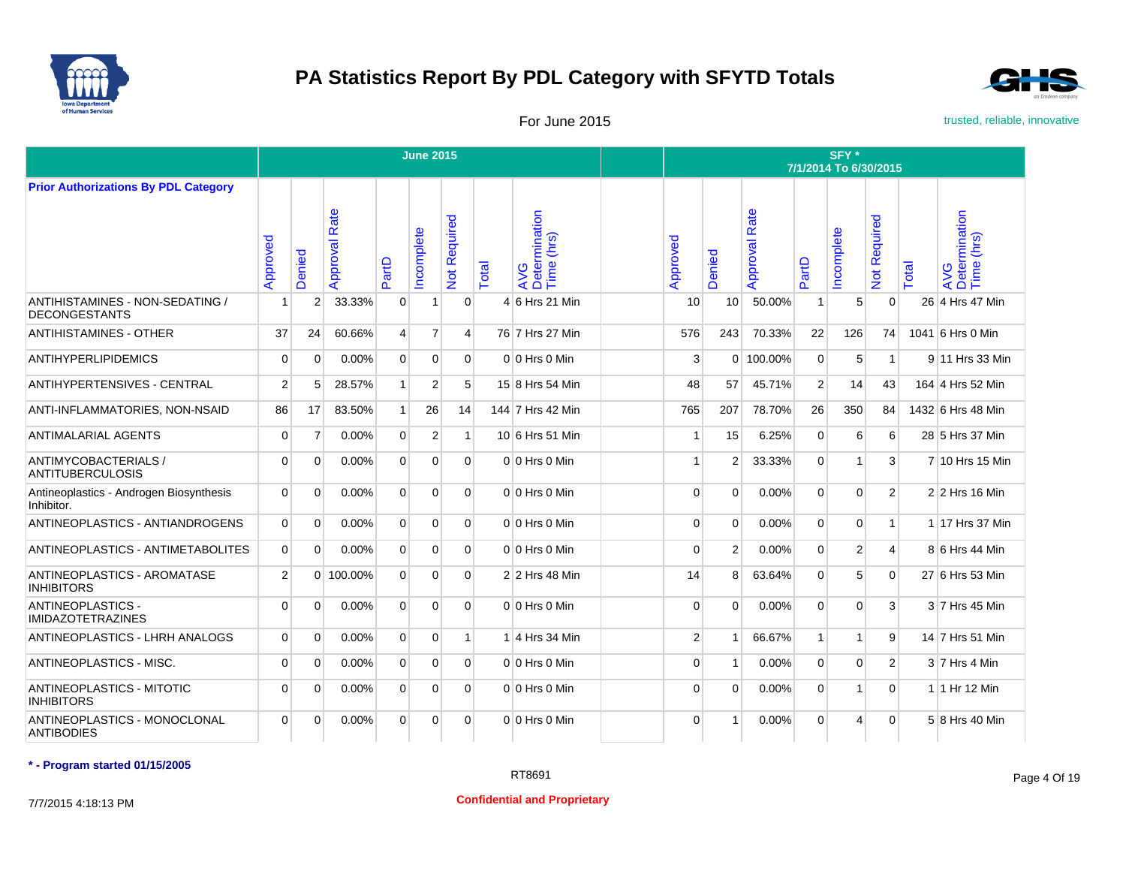



For June 2015 **For June 2015** trusted, reliable, innovative

|                                                         |                |                |                  |                | <b>June 2015</b> |                |       |                                    |                |                 |                      |                | SFY*<br>7/1/2014 To 6/30/2015 |                   |              |                                    |
|---------------------------------------------------------|----------------|----------------|------------------|----------------|------------------|----------------|-------|------------------------------------|----------------|-----------------|----------------------|----------------|-------------------------------|-------------------|--------------|------------------------------------|
| <b>Prior Authorizations By PDL Category</b>             |                |                |                  |                |                  |                |       |                                    |                |                 |                      |                |                               |                   |              |                                    |
|                                                         | Approved       | Denied         | Rate<br>Approval | PartD          | ncomplete        | Not Required   | Total | AVG<br>Determination<br>Time (hrs) | Approved       | Denied          | <b>Approval Rate</b> | PartD          | ncomplete                     | equired<br>Not Re | <b>Total</b> | AVG<br>Determination<br>Time (hrs) |
| ANTIHISTAMINES - NON-SEDATING /<br><b>DECONGESTANTS</b> | 1              | $\overline{2}$ | 33.33%           | $\overline{0}$ | 1                | $\Omega$       |       | 4 6 Hrs 21 Min                     | 10             | 10 <sup>1</sup> | 50.00%               | $\mathbf{1}$   | 5                             | $\mathbf{0}$      |              | 26 4 Hrs 47 Min                    |
| <b>ANTIHISTAMINES - OTHER</b>                           | 37             | 24             | 60.66%           | $\overline{4}$ | $\overline{7}$   | $\overline{4}$ |       | 76 7 Hrs 27 Min                    | 576            | 243             | 70.33%               | 22             | 126                           | 74                |              | 1041 6 Hrs 0 Min                   |
| <b>ANTIHYPERLIPIDEMICS</b>                              | $\Omega$       | $\Omega$       | 0.00%            | $\Omega$       | $\Omega$         | $\Omega$       |       | $010$ Hrs $0$ Min                  | 3              |                 | 0 100.00%            | $\Omega$       | 5                             | $\mathbf{1}$      |              | 9 11 Hrs 33 Min                    |
| <b>ANTIHYPERTENSIVES - CENTRAL</b>                      | 2              | 5              | 28.57%           | 1              | $\overline{2}$   | 5              |       | 15 8 Hrs 54 Min                    | 48             | 57              | 45.71%               | $\overline{2}$ | 14                            | 43                |              | 164 4 Hrs 52 Min                   |
| ANTI-INFLAMMATORIES, NON-NSAID                          | 86             | 17             | 83.50%           | 1              | 26               | 14             |       | 144 7 Hrs 42 Min                   | 765            | 207             | 78.70%               | 26             | 350                           | 84                |              | 1432 6 Hrs 48 Min                  |
| <b>ANTIMALARIAL AGENTS</b>                              | $\mathbf 0$    | 7              | 0.00%            | $\overline{0}$ | $\overline{2}$   | $\mathbf{1}$   |       | 10 6 Hrs 51 Min                    |                | 15              | 6.25%                | $\mathbf 0$    | 6                             | 6                 |              | 28 5 Hrs 37 Min                    |
| ANTIMYCOBACTERIALS /<br><b>ANTITUBERCULOSIS</b>         | $\Omega$       | $\Omega$       | 0.00%            | $\Omega$       | $\Omega$         | $\Omega$       |       | 0 0 Hrs 0 Min                      |                | 2               | 33.33%               | $\Omega$       | 1                             | 3                 |              | 7 10 Hrs 15 Min                    |
| Antineoplastics - Androgen Biosynthesis<br>Inhibitor.   | $\Omega$       | $\Omega$       | 0.00%            | $\overline{0}$ | $\Omega$         | $\Omega$       |       | $0 0$ Hrs 0 Min                    | $\Omega$       | $\Omega$        | 0.00%                | $\overline{0}$ | $\Omega$                      | 2 <sup>1</sup>    |              | $2$ 2 Hrs 16 Min                   |
| ANTINEOPLASTICS - ANTIANDROGENS                         | 0              | $\Omega$       | 0.00%            | $\overline{0}$ | $\overline{0}$   | $\Omega$       |       | $0 0$ Hrs 0 Min                    | $\Omega$       | $\Omega$        | 0.00%                | $\mathbf 0$    | 0                             | $\mathbf{1}$      |              | 1 17 Hrs 37 Min                    |
| ANTINEOPLASTICS - ANTIMETABOLITES                       | $\overline{0}$ | $\Omega$       | 0.00%            | $\overline{0}$ | $\overline{0}$   | $\Omega$       |       | 0 0 Hrs 0 Min                      | $\Omega$       | $\overline{2}$  | 0.00%                | $\mathbf 0$    | 2                             | $\overline{4}$    |              | 8 6 Hrs 44 Min                     |
| ANTINEOPLASTICS - AROMATASE<br><b>INHIBITORS</b>        | 2              | $\Omega$       | 100.00%          | $\Omega$       | $\Omega$         | $\Omega$       |       | 2 2 Hrs 48 Min                     | 14             | 8               | 63.64%               | $\Omega$       | 5                             | $\Omega$          |              | 27 6 Hrs 53 Min                    |
| <b>ANTINEOPLASTICS -</b><br><b>IMIDAZOTETRAZINES</b>    | $\Omega$       | $\Omega$       | 0.00%            | $\overline{0}$ | $\overline{0}$   | $\Omega$       |       | 0 0 Hrs 0 Min                      | $\Omega$       | $\Omega$        | 0.00%                | $\Omega$       | $\mathbf 0$                   | 3                 |              | 3 7 Hrs 45 Min                     |
| ANTINEOPLASTICS - LHRH ANALOGS                          | $\overline{0}$ | $\Omega$       | 0.00%            | $\overline{0}$ | $\overline{0}$   | $\mathbf{1}$   |       | 1 4 Hrs 34 Min                     | $\overline{2}$ | 1               | 66.67%               | $\mathbf{1}$   | 1                             | 9                 |              | 14 7 Hrs 51 Min                    |
| ANTINEOPLASTICS - MISC.                                 | $\Omega$       | $\Omega$       | 0.00%            | $\Omega$       | $\Omega$         | $\Omega$       |       | 0 0 Hrs 0 Min                      | $\Omega$       | 1               | 0.00%                | $\Omega$       | $\Omega$                      | $\overline{2}$    |              | 3 7 Hrs 4 Min                      |
| <b>ANTINEOPLASTICS - MITOTIC</b><br><b>INHIBITORS</b>   | $\Omega$       | $\Omega$       | 0.00%            | $\Omega$       | $\Omega$         | $\Omega$       |       | 0 0 Hrs 0 Min                      | $\Omega$       | $\Omega$        | 0.00%                | $\Omega$       | 1                             | $\Omega$          |              | 1 1 Hr 12 Min                      |
| ANTINEOPLASTICS - MONOCLONAL<br><b>ANTIBODIES</b>       | $\Omega$       | $\Omega$       | 0.00%            | $\Omega$       | $\overline{0}$   | $\Omega$       |       | $0 0$ Hrs 0 Min                    | $\Omega$       | 1               | 0.00%                | $\Omega$       | 4                             | $\Omega$          |              | 5 8 Hrs 40 Min                     |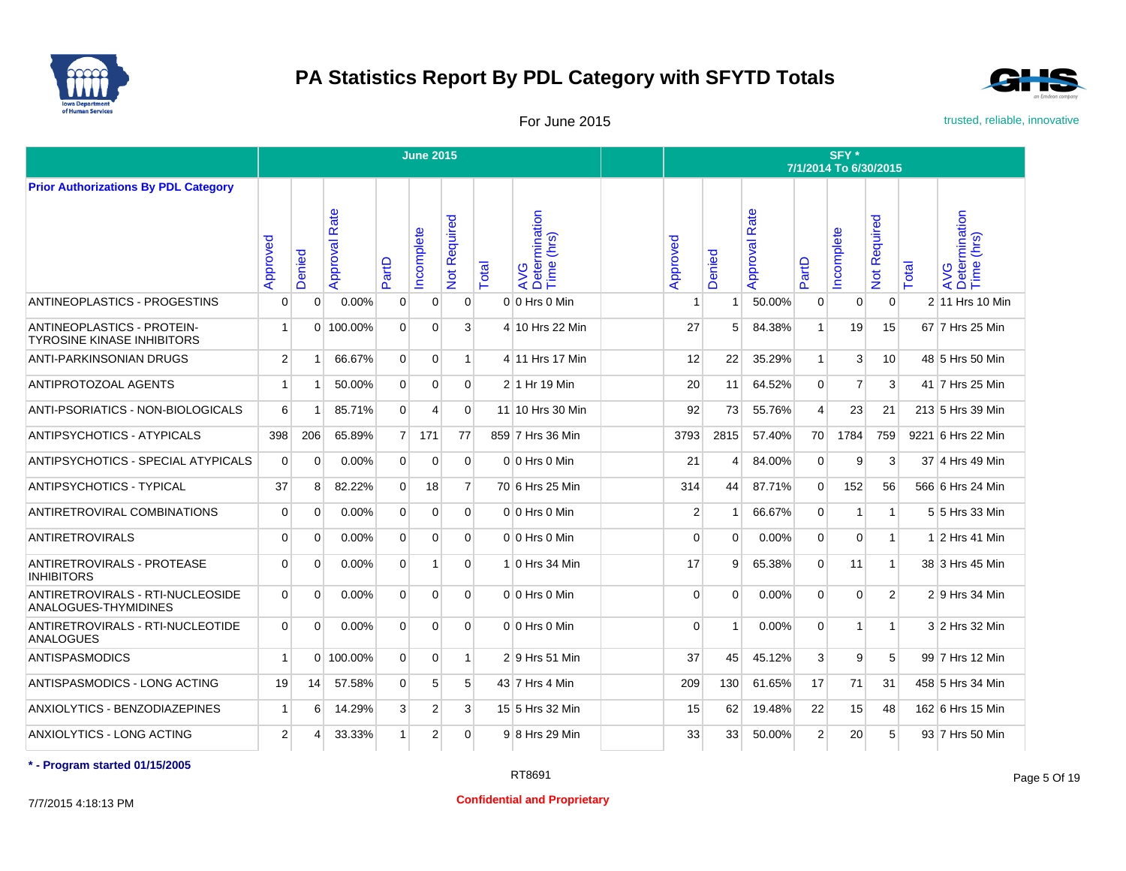



For June 2015 **For June 2015** trusted, reliable, innovative

|                                                                        |              |                |                      |                | <b>June 2015</b> |                |       |                                    |                |          |                      |                | SFY *<br>7/1/2014 To 6/30/2015 |                            |       |                                    |
|------------------------------------------------------------------------|--------------|----------------|----------------------|----------------|------------------|----------------|-------|------------------------------------|----------------|----------|----------------------|----------------|--------------------------------|----------------------------|-------|------------------------------------|
| <b>Prior Authorizations By PDL Category</b>                            |              |                |                      |                |                  |                |       |                                    |                |          |                      |                |                                |                            |       |                                    |
|                                                                        | Approved     | Denied         | <b>Approval Rate</b> | PartD          | ncomplete        | Not Required   | Total | AVG<br>Determination<br>Time (hrs) | Approved       | Denied   | <b>Approval Rate</b> | PartD          | ncomplete                      | Required<br>$\overline{5}$ | Total | AVG<br>Determination<br>Time (hrs) |
| ANTINEOPLASTICS - PROGESTINS                                           | 0            | $\Omega$       | 0.00%                | 0              | $\mathbf{0}$     | $\Omega$       |       | $0 0$ Hrs 0 Min                    |                | -1       | 50.00%               | $\mathbf{0}$   | 0                              | $\Omega$                   |       | 2 11 Hrs 10 Min                    |
| <b>ANTINEOPLASTICS - PROTEIN-</b><br><b>TYROSINE KINASE INHIBITORS</b> | 1            |                | $0$   100.00%        | $\overline{0}$ | $\overline{0}$   | $\mathbf{3}$   |       | 4 10 Hrs 22 Min                    | 27             | 5        | 84.38%               | 1              | 19                             | 15                         |       | 67 7 Hrs 25 Min                    |
| <b>ANTI-PARKINSONIAN DRUGS</b>                                         | 2            | $\overline{1}$ | 66.67%               | $\overline{0}$ | $\mathbf{0}$     | $\mathbf{1}$   |       | 4 11 Hrs 17 Min                    | 12             | 22       | 35.29%               | $\mathbf{1}$   | 3                              | 10                         |       | 48 5 Hrs 50 Min                    |
| ANTIPROTOZOAL AGENTS                                                   | $\mathbf{1}$ | $\overline{1}$ | 50.00%               | $\overline{0}$ | $\Omega$         | $\Omega$       |       | 2 1 Hr 19 Min                      | 20             | 11       | 64.52%               | $\Omega$       | $\overline{7}$                 | 3                          |       | 41 7 Hrs 25 Min                    |
| ANTI-PSORIATICS - NON-BIOLOGICALS                                      | $6 \mid$     | -1             | 85.71%               | $\Omega$       | $\overline{4}$   | $\Omega$       |       | 11 10 Hrs 30 Min                   | 92             | 73       | 55.76%               | $\overline{4}$ | 23                             | 21                         |       | 213 5 Hrs 39 Min                   |
| <b>ANTIPSYCHOTICS - ATYPICALS</b>                                      | 398          | 206            | 65.89%               | 7 <sup>1</sup> | 171              | 77             |       | 859 7 Hrs 36 Min                   | 3793           | 2815     | 57.40%               | 70             | 1784                           | 759                        |       | 9221 6 Hrs 22 Min                  |
| ANTIPSYCHOTICS - SPECIAL ATYPICALS                                     | $\Omega$     | $\Omega$       | 0.00%                | $\overline{0}$ | $\Omega$         | $\Omega$       |       | 0 0 Hrs 0 Min                      | 21             | Δ        | 84.00%               | $\Omega$       | 9                              | 3                          |       | 37 4 Hrs 49 Min                    |
| <b>ANTIPSYCHOTICS - TYPICAL</b>                                        | 37           | 8              | 82.22%               | $\overline{0}$ | 18               | $\overline{7}$ |       | 70 6 Hrs 25 Min                    | 314            | 44       | 87.71%               | $\Omega$       | 152                            | 56                         |       | 566 6 Hrs 24 Min                   |
| ANTIRETROVIRAL COMBINATIONS                                            | $\mathbf 0$  | $\Omega$       | 0.00%                | $\Omega$       | $\Omega$         | $\Omega$       |       | $0 0$ Hrs 0 Min                    | $\overline{2}$ | -1       | 66.67%               | $\Omega$       | 1                              | $\mathbf{1}$               |       | 5 5 Hrs 33 Min                     |
| <b>ANTIRETROVIRALS</b>                                                 | $\mathbf 0$  | $\Omega$       | 0.00%                | $\overline{0}$ | $\overline{0}$   | $\Omega$       |       | $0 0$ Hrs $0$ Min                  | $\overline{0}$ | $\Omega$ | 0.00%                | $\mathbf{0}$   | $\overline{0}$                 | $\mathbf{1}$               |       | $1 2$ Hrs 41 Min                   |
| ANTIRETROVIRALS - PROTEASE<br><b>INHIBITORS</b>                        | $\Omega$     | $\Omega$       | $0.00\%$             | $\overline{0}$ | 1 <sup>1</sup>   | $\overline{0}$ |       | 1 0 Hrs 34 Min                     | 17             | 9        | 65.38%               | $\Omega$       | 11                             | $\mathbf{1}$               |       | 38 3 Hrs 45 Min                    |
| ANTIRETROVIRALS - RTI-NUCLEOSIDE<br>ANALOGUES-THYMIDINES               | 0            | $\Omega$       | 0.00%                | $\overline{0}$ | $\overline{0}$   | $\Omega$       |       | 0 0 Hrs 0 Min                      | $\Omega$       | $\Omega$ | $0.00\%$             | $\overline{0}$ | $\overline{0}$                 | 2                          |       | 2 9 Hrs 34 Min                     |
| ANTIRETROVIRALS - RTI-NUCLEOTIDE<br><b>ANALOGUES</b>                   | 0            | $\Omega$       | 0.00%                | $\overline{0}$ | $\overline{0}$   | $\Omega$       |       | $0 0$ Hrs $0$ Min                  | $\Omega$       | -1       | 0.00%                | $\mathbf{0}$   | 1                              | $\mathbf{1}$               |       | 3 2 Hrs 32 Min                     |
| <b>ANTISPASMODICS</b>                                                  | $\mathbf{1}$ |                | 0 100.00%            | $\overline{0}$ | $\overline{0}$   | $\mathbf{1}$   |       | 2 9 Hrs 51 Min                     | 37             | 45       | 45.12%               | 3              | 9                              | 5                          |       | 99 7 Hrs 12 Min                    |
| ANTISPASMODICS - LONG ACTING                                           | 19           | 14             | 57.58%               | $\overline{0}$ | 5                | 5              |       | 43 7 Hrs 4 Min                     | 209            | 130      | 61.65%               | 17             | 71                             | 31                         |       | 458 5 Hrs 34 Min                   |
| ANXIOLYTICS - BENZODIAZEPINES                                          | $\mathbf{1}$ | 6              | 14.29%               | $\mathbf{3}$   | $\overline{2}$   | $\mathbf{3}$   |       | 15 5 Hrs 32 Min                    | 15             | 62       | 19.48%               | 22             | 15                             | 48                         |       | 162 6 Hrs 15 Min                   |
| ANXIOLYTICS - LONG ACTING                                              | 2            | 4              | 33.33%               | 1 <sup>1</sup> | $\overline{2}$   | $\Omega$       |       | 9 8 Hrs 29 Min                     | 33             | 33       | 50.00%               | $\overline{2}$ | 20                             | 5                          |       | 93 7 Hrs 50 Min                    |

**\* - Program started 01/15/2005**

7/7/2015 4:18:13 PM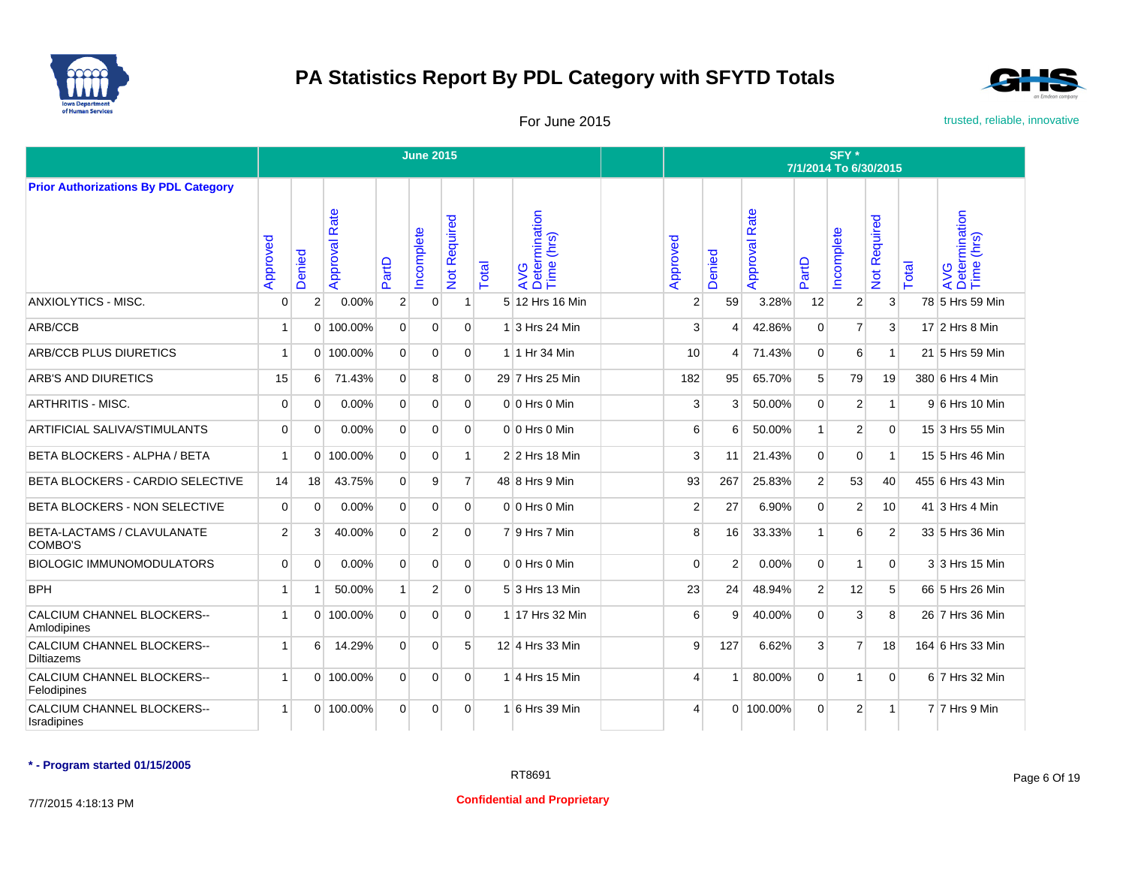



For June 2015 **For June 2015** trusted, reliable, innovative

|                                                 |                |                |                  |                | <b>June 2015</b> |                           |       |                                    |                |                |                      |                | SFY*<br>7/1/2014 To 6/30/2015 |                     |       |                                    |
|-------------------------------------------------|----------------|----------------|------------------|----------------|------------------|---------------------------|-------|------------------------------------|----------------|----------------|----------------------|----------------|-------------------------------|---------------------|-------|------------------------------------|
| <b>Prior Authorizations By PDL Category</b>     |                |                |                  |                |                  |                           |       |                                    |                |                |                      |                |                               |                     |       |                                    |
|                                                 | Approved       | Denied         | Rate<br>Approval | PartD          | ncomplete        | Required<br>$\frac{5}{2}$ | Total | AVG<br>Determination<br>Time (hrs) | Approved       | Denied         | <b>Approval Rate</b> | PartD          | ncomplete                     | <b>Not Required</b> | Total | AVG<br>Determination<br>Time (hrs) |
| <b>ANXIOLYTICS - MISC.</b>                      | $\Omega$       | $\overline{2}$ | $0.00\%$         | $\overline{2}$ | $\mathbf 0$      | $\mathbf 1$               |       | 5 12 Hrs 16 Min                    | $\overline{2}$ | 59             | 3.28%                | 12             | 2                             | 3                   |       | 78 5 Hrs 59 Min                    |
| ARB/CCB                                         | $\overline{1}$ |                | 0 100.00%        | $\overline{0}$ | $\Omega$         | $\Omega$                  |       | 1 3 Hrs 24 Min                     | 3              | 4              | 42.86%               | $\mathbf 0$    | $\overline{7}$                | 3                   |       | 17 2 Hrs 8 Min                     |
| <b>ARB/CCB PLUS DIURETICS</b>                   | $\mathbf{1}$   |                | $0$ 100.00%      | $\Omega$       | $\Omega$         | $\Omega$                  |       | 1 1 Hr 34 Min                      | 10             | $\overline{4}$ | 71.43%               | $\Omega$       | 6                             | $\mathbf{1}$        |       | 21 5 Hrs 59 Min                    |
| <b>ARB'S AND DIURETICS</b>                      | 15             | 6              | 71.43%           | $\overline{0}$ | 8                | $\Omega$                  |       | 29 7 Hrs 25 Min                    | 182            | 95             | 65.70%               | 5 <sup>5</sup> | 79                            | 19                  |       | 380 6 Hrs 4 Min                    |
| <b>ARTHRITIS - MISC.</b>                        | $\Omega$       | $\Omega$       | 0.00%            | $\overline{0}$ | $\Omega$         | $\overline{0}$            |       | $0 0$ Hrs $0$ Min                  | 3              | 3              | 50.00%               | $\Omega$       | 2                             | $\mathbf{1}$        |       | 9 6 Hrs 10 Min                     |
| <b>ARTIFICIAL SALIVA/STIMULANTS</b>             | $\Omega$       | $\Omega$       | 0.00%            | $\overline{0}$ | $\Omega$         | $\Omega$                  |       | 0 0 Hrs 0 Min                      | 6              | 6              | 50.00%               | $\mathbf{1}$   | $\overline{2}$                | $\Omega$            |       | 15 3 Hrs 55 Min                    |
| BETA BLOCKERS - ALPHA / BETA                    | $\mathbf{1}$   | $\Omega$       | 100.00%          | $\overline{0}$ | $\mathbf 0$      | 1                         |       | 2 2 Hrs 18 Min                     | 3              | 11             | 21.43%               | $\Omega$       | 0                             | $\mathbf{1}$        |       | 15 5 Hrs 46 Min                    |
| BETA BLOCKERS - CARDIO SELECTIVE                | 14             | 18             | 43.75%           | $\Omega$       | 9                | $\overline{7}$            |       | 48 8 Hrs 9 Min                     | 93             | 267            | 25.83%               | 2 <sup>1</sup> | 53                            | 40                  |       | 455 6 Hrs 43 Min                   |
| BETA BLOCKERS - NON SELECTIVE                   | $\overline{0}$ | $\Omega$       | 0.00%            | $\overline{0}$ | $\Omega$         | $\Omega$                  |       | $0 0$ Hrs $0$ Min                  | $\overline{2}$ | 27             | 6.90%                | $\Omega$       | 2                             | 10                  |       | 41 3 Hrs 4 Min                     |
| BETA-LACTAMS / CLAVULANATE<br>COMBO'S           | $\overline{2}$ | 3              | 40.00%           | $\Omega$       | 2                | $\Omega$                  |       | 79 Hrs 7 Min                       | 8              | 16             | 33.33%               | $\mathbf{1}$   | 6                             | 2                   |       | 33 5 Hrs 36 Min                    |
| <b>BIOLOGIC IMMUNOMODULATORS</b>                | $\Omega$       | $\Omega$       | 0.00%            | $\overline{0}$ | $\mathbf 0$      | $\overline{0}$            |       | $0 0$ Hrs 0 Min                    | $\Omega$       | $\overline{2}$ | 0.00%                | $\overline{0}$ | 1                             | $\overline{0}$      |       | 3 3 Hrs 15 Min                     |
| <b>BPH</b>                                      | $\overline{1}$ | í              | 50.00%           | 1              | $\overline{2}$   | $\Omega$                  |       | 5 3 Hrs 13 Min                     | 23             | 24             | 48.94%               | 2 <sup>1</sup> | 12                            | 5                   |       | 66 5 Hrs 26 Min                    |
| CALCIUM CHANNEL BLOCKERS--<br>Amlodipines       | $\overline{1}$ | $\Omega$       | 100.00%          | $\Omega$       | $\Omega$         | $\overline{0}$            |       | 1 17 Hrs 32 Min                    | 6              | 9              | 40.00%               | $\Omega$       | 3                             | 8                   |       | 26 7 Hrs 36 Min                    |
| CALCIUM CHANNEL BLOCKERS--<br><b>Diltiazems</b> | -1             | 6              | 14.29%           | $\Omega$       | $\Omega$         | 5                         |       | 12 4 Hrs 33 Min                    | 9              | 127            | 6.62%                | 3              | $\overline{7}$                | 18                  |       | 164 6 Hrs 33 Min                   |
| CALCIUM CHANNEL BLOCKERS--<br>Felodipines       | $\overline{1}$ | $\Omega$       | 100.00%          | $\Omega$       | $\mathbf 0$      | $\overline{0}$            |       | 1 4 Hrs 15 Min                     | 4              |                | 80.00%               | $\Omega$       | 1                             | $\mathbf 0$         |       | 6 7 Hrs 32 Min                     |
| CALCIUM CHANNEL BLOCKERS--<br>Isradipines       |                |                | 0 100.00%        | $\Omega$       | $\Omega$         | $\Omega$                  |       | 1 6 Hrs 39 Min                     | 4              |                | 0 100.00%            | $\Omega$       | 2                             | $\mathbf{1}$        |       | 7 7 Hrs 9 Min                      |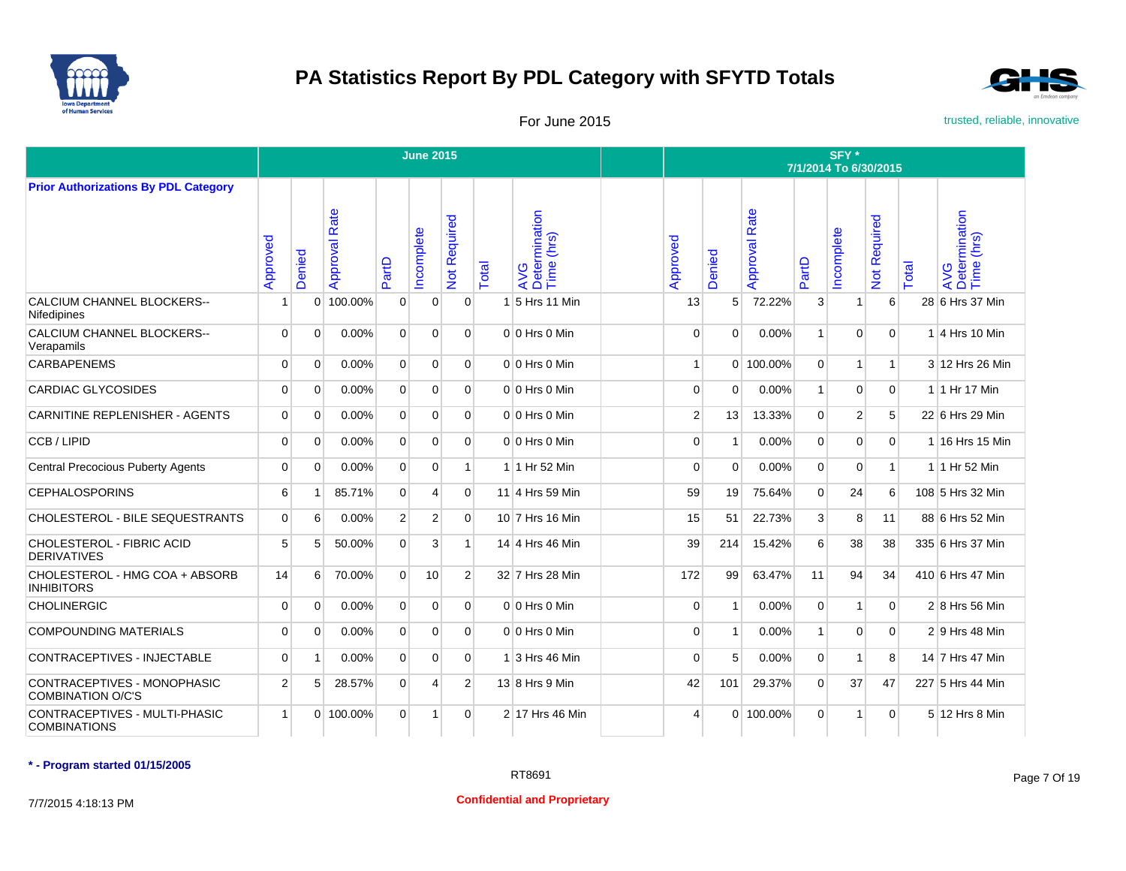



For June 2015 **For June 2015** trusted, reliable, innovative

|                                                         |                |                |                  |                | <b>June 2015</b> |                     |       |                                    |                |                |                      |                | SFY *<br>7/1/2014 To 6/30/2015 |                     |       |                                    |
|---------------------------------------------------------|----------------|----------------|------------------|----------------|------------------|---------------------|-------|------------------------------------|----------------|----------------|----------------------|----------------|--------------------------------|---------------------|-------|------------------------------------|
| <b>Prior Authorizations By PDL Category</b>             |                |                |                  |                |                  |                     |       |                                    |                |                |                      |                |                                |                     |       |                                    |
|                                                         | Approved       | Denied         | Rate<br>Approval | PartD          | ncomplete        | <b>Not Required</b> | Total | AVG<br>Determination<br>Time (hrs) | Approved       | Denied         | <b>Approval Rate</b> | PartD          | ncomplete                      | <b>Not Required</b> | Total | AVG<br>Determination<br>Time (hrs) |
| <b>CALCIUM CHANNEL BLOCKERS--</b><br>Nifedipines        | -1             | $\mathbf 0$    | 100.00%          | $\mathbf 0$    | $\mathbf 0$      | $\overline{0}$      | 1     | 5 Hrs 11 Min                       | 13             | 5 <sup>1</sup> | 72.22%               | 3              | 1                              | $6 \mid$            |       | 28 6 Hrs 37 Min                    |
| <b>CALCIUM CHANNEL BLOCKERS--</b><br>Verapamils         | $\Omega$       | $\Omega$       | 0.00%            | $\Omega$       | $\Omega$         | $\Omega$            |       | $0 0$ Hrs $0$ Min                  | $\Omega$       | $\Omega$       | 0.00%                | $\mathbf{1}$   | $\Omega$                       | $\Omega$            |       | $1$ 4 Hrs 10 Min                   |
| <b>CARBAPENEMS</b>                                      | $\Omega$       | $\Omega$       | 0.00%            | $\overline{0}$ | $\Omega$         | $\overline{0}$      |       | $0 0$ Hrs $0$ Min                  | $\mathbf{1}$   |                | 0 100.00%            | $\Omega$       | 1 <sup>1</sup>                 | $\vert$ 1           |       | 3 12 Hrs 26 Min                    |
| <b>CARDIAC GLYCOSIDES</b>                               | $\mathbf 0$    | $\mathbf 0$    | 0.00%            | $\overline{0}$ | $\mathbf 0$      | $\overline{0}$      |       | $0 0$ Hrs $0$ Min                  | $\mathbf{0}$   | $\mathbf 0$    | 0.00%                | $\mathbf{1}$   | $\overline{0}$                 | $\mathbf 0$         |       | 1 1 Hr 17 Min                      |
| CARNITINE REPLENISHER - AGENTS                          | $\Omega$       | $\Omega$       | 0.00%            | $\Omega$       | $\Omega$         | $\Omega$            |       | $0 0$ Hrs $0$ Min                  | $\overline{2}$ | 13             | 13.33%               | $\Omega$       | $\overline{2}$                 | 5                   |       | 22 6 Hrs 29 Min                    |
| CCB / LIPID                                             | $\Omega$       | $\Omega$       | 0.00%            | $\Omega$       | $\Omega$         | $\Omega$            |       | $0 0$ Hrs $0$ Min                  | $\Omega$       | 1              | 0.00%                | $\Omega$       | 0                              | $\Omega$            |       | 1 16 Hrs 15 Min                    |
| <b>Central Precocious Puberty Agents</b>                | $\Omega$       | $\Omega$       | 0.00%            | $\overline{0}$ | $\Omega$         | 1                   |       | 1 1 Hr 52 Min                      | $\Omega$       | $\Omega$       | 0.00%                | $\Omega$       | $\Omega$                       | $\mathbf{1}$        |       | 1 1 Hr 52 Min                      |
| <b>CEPHALOSPORINS</b>                                   | 6              | -1             | 85.71%           | $\Omega$       | 4                | $\Omega$            |       | 11 4 Hrs 59 Min                    | 59             | 19             | 75.64%               | $\Omega$       | 24                             | 6                   |       | 108 5 Hrs 32 Min                   |
| CHOLESTEROL - BILE SEQUESTRANTS                         | $\Omega$       | 6              | 0.00%            | $\overline{2}$ | 2                | $\Omega$            |       | 10 7 Hrs 16 Min                    | 15             | 51             | 22.73%               | 3 <sup>1</sup> | 8                              | 11                  |       | 88 6 Hrs 52 Min                    |
| CHOLESTEROL - FIBRIC ACID<br><b>DERIVATIVES</b>         | 5              | 5              | 50.00%           | $\Omega$       | 3                |                     |       | 14 4 Hrs 46 Min                    | 39             | 214            | 15.42%               | 6              | 38                             | 38                  |       | 335 6 Hrs 37 Min                   |
| CHOLESTEROL - HMG COA + ABSORB<br><b>INHIBITORS</b>     | 14             | 6              | 70.00%           | $\Omega$       | 10               | 2 <sup>1</sup>      |       | 32 7 Hrs 28 Min                    | 172            | 99             | 63.47%               | 11             | 94                             | 34                  |       | 410 6 Hrs 47 Min                   |
| <b>CHOLINERGIC</b>                                      | $\Omega$       | $\Omega$       | $0.00\%$         | $\Omega$       | $\Omega$         | $\Omega$            |       | $0 0$ Hrs $0$ Min                  | $\Omega$       | 1              | 0.00%                | $\Omega$       | 1                              | $\Omega$            |       | $2 8$ Hrs 56 Min                   |
| <b>COMPOUNDING MATERIALS</b>                            | $\mathbf 0$    | $\Omega$       | 0.00%            | $\overline{0}$ | $\mathbf 0$      | $\Omega$            |       | $0 0$ Hrs $0$ Min                  | $\Omega$       | 1              | 0.00%                | $\mathbf{1}$   | $\overline{0}$                 | $\overline{0}$      |       | $2 9$ Hrs 48 Min                   |
| <b>CONTRACEPTIVES - INJECTABLE</b>                      | $\Omega$       | $\overline{1}$ | 0.00%            | $\overline{0}$ | $\mathbf 0$      | $\overline{0}$      |       | 1 3 Hrs 46 Min                     | $\Omega$       | 5              | 0.00%                | $\Omega$       | $\overline{1}$                 | 8 <sup>1</sup>      |       | 14 7 Hrs 47 Min                    |
| CONTRACEPTIVES - MONOPHASIC<br><b>COMBINATION O/C'S</b> | $\overline{2}$ | 5              | 28.57%           | $\Omega$       | 4                | 2                   |       | 13 8 Hrs 9 Min                     | 42             | 101            | 29.37%               | $\Omega$       | 37                             | 47                  |       | 227 5 Hrs 44 Min                   |
| CONTRACEPTIVES - MULTI-PHASIC<br><b>COMBINATIONS</b>    | 1              | $\Omega$       | 100.00%          | $\Omega$       | 1                | $\Omega$            |       | 2 17 Hrs 46 Min                    | Δ              |                | 0 100.00%            | $\Omega$       | 1                              | $\Omega$            |       | 5 12 Hrs 8 Min                     |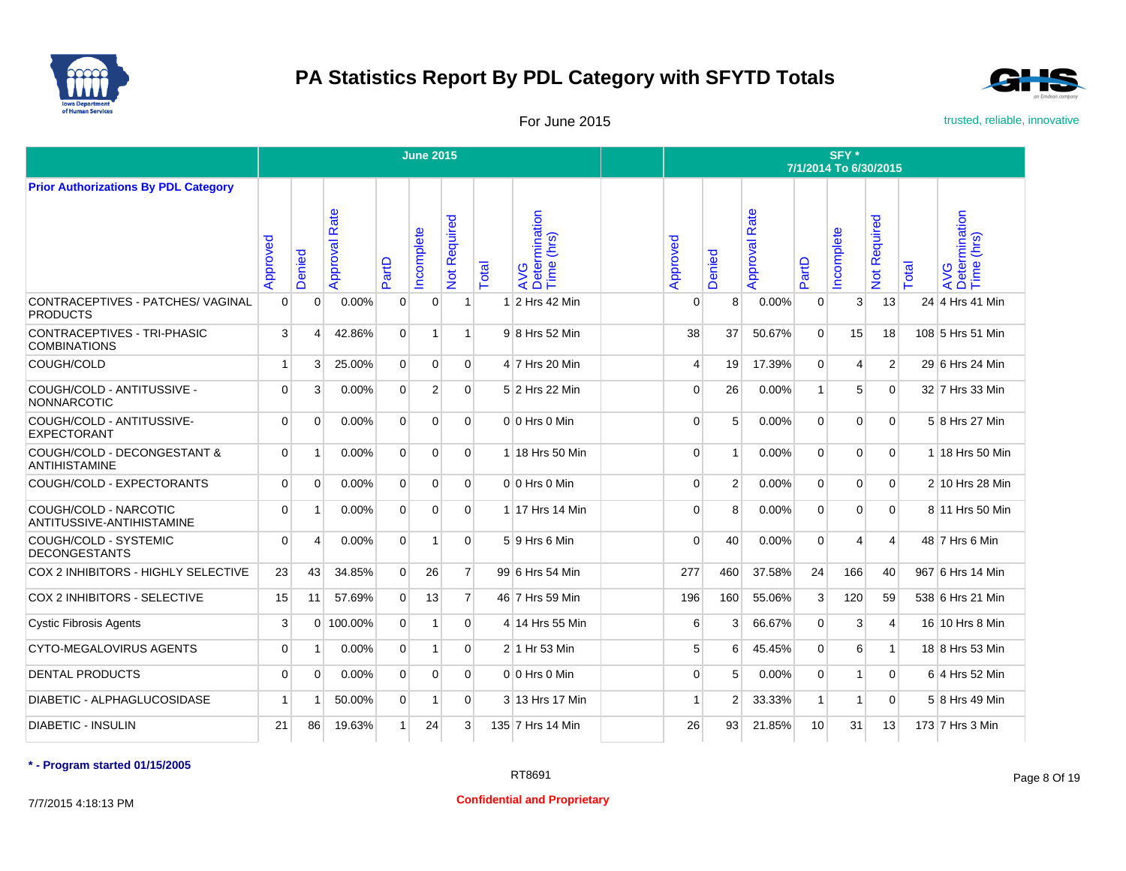



For June 2015 **For June 2015** trusted, reliable, innovative

|                                                      |             |                       |                  |                | <b>June 2015</b> |                     |       |                                    |                |                |                      |                | SFY*<br>7/1/2014 To 6/30/2015 |                   |       |                                    |
|------------------------------------------------------|-------------|-----------------------|------------------|----------------|------------------|---------------------|-------|------------------------------------|----------------|----------------|----------------------|----------------|-------------------------------|-------------------|-------|------------------------------------|
| <b>Prior Authorizations By PDL Category</b>          |             |                       |                  |                |                  |                     |       |                                    |                |                |                      |                |                               |                   |       |                                    |
|                                                      | Approved    | Denied                | Rate<br>Approval | PartD          | ncomplete        | <b>Not Required</b> | Total | AVG<br>Determination<br>Time (hrs) | Approved       | Denied         | <b>Approval Rate</b> | PartD          | ncomplete                     | equired<br>Not Re | Total | AVG<br>Determination<br>Time (hrs) |
| CONTRACEPTIVES - PATCHES/ VAGINAL<br><b>PRODUCTS</b> | $\Omega$    | $\mathbf 0$           | 0.00%            | $\mathbf 0$    | $\mathbf 0$      | 1                   | -1    | 2 Hrs 42 Min                       | $\Omega$       | 8 <sup>1</sup> | 0.00%                | $\mathbf{0}$   | 3                             | 13                |       | 24 4 Hrs 41 Min                    |
| CONTRACEPTIVES - TRI-PHASIC<br><b>COMBINATIONS</b>   | 3           | $\overline{4}$        | 42.86%           | $\mathbf{0}$   | $\mathbf{1}$     | 1                   |       | 9 8 Hrs 52 Min                     | 38             | 37             | 50.67%               | $\Omega$       | 15                            | 18                |       | 108 5 Hrs 51 Min                   |
| COUGH/COLD                                           | 1           | 3                     | 25.00%           | $\overline{0}$ | $\overline{0}$   | $\Omega$            |       | 4 7 Hrs 20 Min                     | $\overline{4}$ | 19             | 17.39%               | $\mathbf{0}$   | 4                             | $\overline{2}$    |       | 29 6 Hrs 24 Min                    |
| COUGH/COLD - ANTITUSSIVE -<br><b>NONNARCOTIC</b>     | $\Omega$    | 3                     | 0.00%            | $\mathbf{0}$   | $\overline{2}$   | $\overline{0}$      |       | 5 2 Hrs 22 Min                     | $\Omega$       | 26             | 0.00%                | $\mathbf{1}$   | 5                             | $\mathbf 0$       |       | 32 7 Hrs 33 Min                    |
| COUGH/COLD - ANTITUSSIVE-<br><b>EXPECTORANT</b>      | $\Omega$    | $\mathbf 0$           | 0.00%            | $\mathbf{0}$   | $\mathbf 0$      | $\overline{0}$      |       | $0 0$ Hrs $0$ Min                  | $\Omega$       | 5              | 0.00%                | $\mathbf{0}$   | $\mathbf{0}$                  | $\overline{0}$    |       | 5 8 Hrs 27 Min                     |
| COUGH/COLD - DECONGESTANT &<br><b>ANTIHISTAMINE</b>  | $\Omega$    | -1                    | 0.00%            | $\overline{0}$ | $\mathbf 0$      | $\Omega$            |       | 1 18 Hrs 50 Min                    | $\Omega$       | 1              | 0.00%                | $\mathbf{0}$   | $\overline{0}$                | $\Omega$          |       | 1 18 Hrs 50 Min                    |
| COUGH/COLD - EXPECTORANTS                            | $\mathbf 0$ | $\Omega$              | 0.00%            | $\mathbf{0}$   | $\mathbf 0$      | $\overline{0}$      |       | $0 0$ Hrs $0$ Min                  | $\Omega$       | 2              | 0.00%                | $\mathbf{0}$   | $\overline{0}$                | $\overline{0}$    |       | 2 10 Hrs 28 Min                    |
| COUGH/COLD - NARCOTIC<br>ANTITUSSIVE-ANTIHISTAMINE   | $\Omega$    | $\overline{1}$        | 0.00%            | $\overline{0}$ | $\mathbf 0$      | $\Omega$            |       | 1 17 Hrs 14 Min                    | $\Omega$       | 8              | 0.00%                | $\mathbf{0}$   | $\mathbf{0}$                  | $\overline{0}$    |       | 8 11 Hrs 50 Min                    |
| COUGH/COLD - SYSTEMIC<br><b>DECONGESTANTS</b>        | $\Omega$    | $\boldsymbol{\Delta}$ | 0.00%            | $\overline{0}$ | 1                | $\Omega$            |       | 5 9 Hrs 6 Min                      | $\Omega$       | 40             | 0.00%                | $\mathbf{0}$   | 4                             | $\overline{4}$    |       | 48 7 Hrs 6 Min                     |
| COX 2 INHIBITORS - HIGHLY SELECTIVE                  | 23          | 43                    | 34.85%           | $\overline{0}$ | 26               | $\overline{7}$      |       | 99 6 Hrs 54 Min                    | 277            | 460            | 37.58%               | 24             | 166                           | 40                |       | 967 6 Hrs 14 Min                   |
| COX 2 INHIBITORS - SELECTIVE                         | 15          | 11                    | 57.69%           | $\overline{0}$ | 13               | $\overline{7}$      |       | 46 7 Hrs 59 Min                    | 196            | 160            | 55.06%               | 3 <sup>1</sup> | 120                           | 59                |       | 538 6 Hrs 21 Min                   |
| <b>Cystic Fibrosis Agents</b>                        | 3           | $\Omega$              | 100.00%          | $\Omega$       | $\mathbf{1}$     | $\Omega$            |       | 4 14 Hrs 55 Min                    | 6              | 3              | 66.67%               | $\Omega$       | 3                             | $\overline{4}$    |       | 16 10 Hrs 8 Min                    |
| <b>CYTO-MEGALOVIRUS AGENTS</b>                       | $\Omega$    | -1                    | 0.00%            | $\overline{0}$ | $\mathbf{1}$     | $\Omega$            |       | 2 1 Hr 53 Min                      | 5              | 6              | 45.45%               | $\overline{0}$ | 6                             | $\mathbf{1}$      |       | 18 8 Hrs 53 Min                    |
| <b>DENTAL PRODUCTS</b>                               | $\Omega$    | $\Omega$              | 0.00%            | $\Omega$       | $\mathbf 0$      | $\Omega$            |       | $0 0$ Hrs $0$ Min                  | $\Omega$       | 5              | 0.00%                | $\Omega$       | 1                             | $\overline{0}$    |       | 6 4 Hrs 52 Min                     |
| DIABETIC - ALPHAGLUCOSIDASE                          | 1           | -1                    | 50.00%           | $\overline{0}$ | $\mathbf{1}$     | $\overline{0}$      |       | 3 13 Hrs 17 Min                    |                | 2              | 33.33%               | $\mathbf{1}$   | 1                             | $\overline{0}$    |       | 5 8 Hrs 49 Min                     |
| <b>DIABETIC - INSULIN</b>                            | 21          | 86                    | 19.63%           | $\mathbf{1}$   | 24               | $\mathbf{3}$        |       | 135 7 Hrs 14 Min                   | 26             | 93             | 21.85%               | 10             | 31                            | 13                |       | 173 7 Hrs 3 Min                    |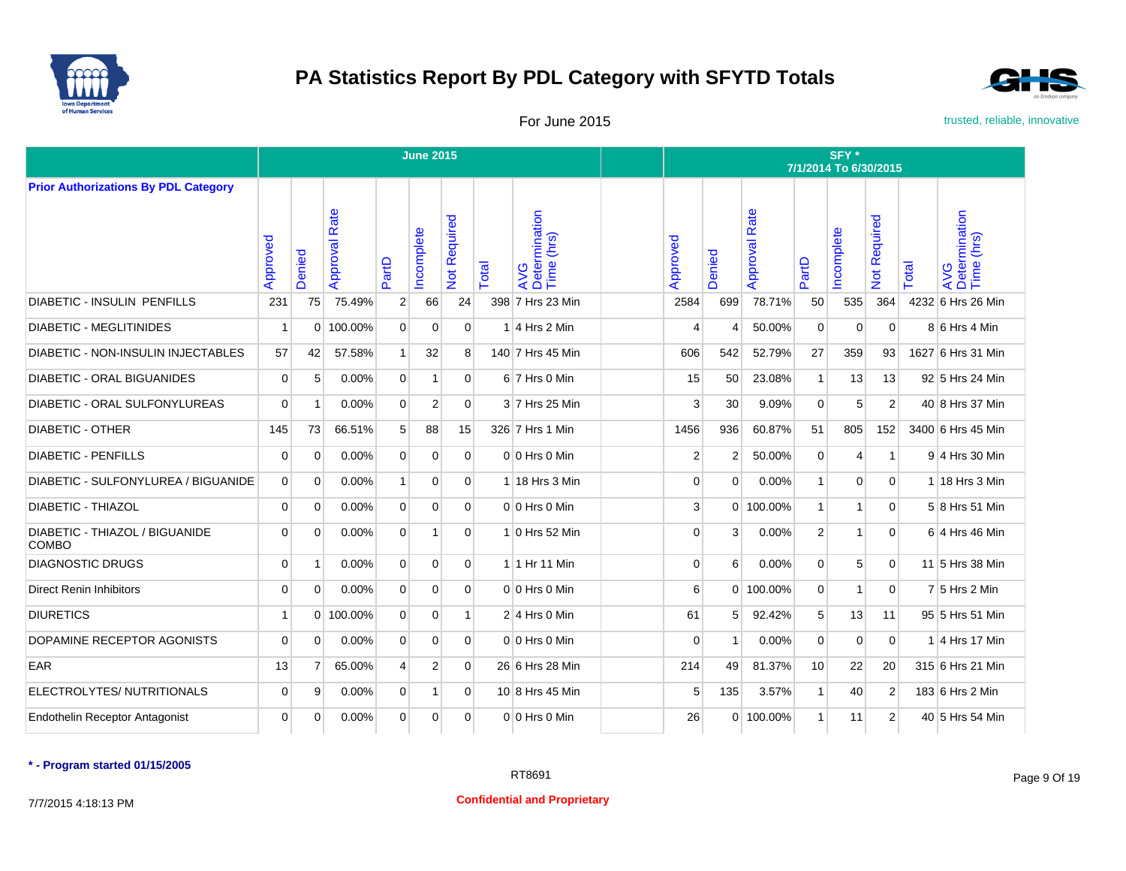



For June 2015 **For June 2015** trusted, reliable, innovative

|                                                |                |                |                  |                | <b>June 2015</b> |                |       |                                    |                |                |                      |              | SFY*<br>7/1/2014 To 6/30/2015 |                     |       |                                    |
|------------------------------------------------|----------------|----------------|------------------|----------------|------------------|----------------|-------|------------------------------------|----------------|----------------|----------------------|--------------|-------------------------------|---------------------|-------|------------------------------------|
| <b>Prior Authorizations By PDL Category</b>    |                |                |                  |                |                  |                |       |                                    |                |                |                      |              |                               |                     |       |                                    |
|                                                | Approved       | Denied         | Rate<br>Approval | PartD          | ncomplete        | Not Required   | Total | AVG<br>Determination<br>Time (hrs) | Approved       | Denied         | <b>Approval Rate</b> | PartD        | Incomplete                    | <b>Not Required</b> | Total | AVG<br>Determination<br>Time (hrs) |
| <b>DIABETIC - INSULIN PENFILLS</b>             | 231            | 75             | 75.49%           | $\overline{2}$ | 66               | 24             |       | 398 7 Hrs 23 Min                   | 2584           | 699            | 78.71%               | 50           | 535                           | 364                 |       | 4232 6 Hrs 26 Min                  |
| <b>DIABETIC - MEGLITINIDES</b>                 | 1              | 0              | 100.00%          | $\overline{0}$ | $\mathbf 0$      | $\mathbf{0}$   |       | $1 4$ Hrs 2 Min                    | $\overline{4}$ |                | 50.00%               | $\mathbf 0$  | 0                             | $\mathbf 0$         |       | $8 6$ Hrs 4 Min                    |
| <b>DIABETIC - NON-INSULIN INJECTABLES</b>      | 57             | 42             | 57.58%           | 1              | 32               | 8              |       | 140 7 Hrs 45 Min                   | 606            | 542            | 52.79%               | 27           | 359                           | 93                  |       | 1627 6 Hrs 31 Min                  |
| DIABETIC - ORAL BIGUANIDES                     | $\overline{0}$ | 5              | 0.00%            | $\overline{0}$ | $\mathbf{1}$     | $\mathbf{0}$   |       | $6$ 7 Hrs 0 Min                    | 15             | 50             | 23.08%               | $\mathbf{1}$ | 13                            | 13                  |       | 92 5 Hrs 24 Min                    |
| DIABETIC - ORAL SULFONYLUREAS                  | $\Omega$       | -1             | 0.00%            | $\overline{0}$ | $\overline{2}$   | $\mathbf{0}$   |       | 3 7 Hrs 25 Min                     | 3              | 30             | 9.09%                | $\mathbf 0$  | 5                             | $\overline{2}$      |       | 40 8 Hrs 37 Min                    |
| <b>DIABETIC - OTHER</b>                        | 145            | 73             | 66.51%           | 5 <sup>1</sup> | 88               | 15             |       | 326 7 Hrs 1 Min                    | 1456           | 936            | 60.87%               | 51           | 805                           | 152                 |       | 3400 6 Hrs 45 Min                  |
| <b>DIABETIC - PENFILLS</b>                     | $\mathbf 0$    | $\Omega$       | 0.00%            | $\overline{0}$ | $\mathbf 0$      | $\mathbf{0}$   |       | $0 0$ Hrs 0 Min                    | $\overline{2}$ | 2              | 50.00%               | $\mathbf{0}$ | 4                             | $\mathbf{1}$        |       | 9 4 Hrs 30 Min                     |
| DIABETIC - SULFONYLUREA / BIGUANIDE            | $\overline{0}$ | $\Omega$       | 0.00%            | 1              | $\mathbf 0$      | $\mathbf{0}$   |       | $1$ 18 Hrs 3 Min                   | $\overline{0}$ | $\Omega$       | 0.00%                | $\mathbf{1}$ | $\mathbf 0$                   | $\mathbf{0}$        |       | 1 18 Hrs 3 Min                     |
| DIABETIC - THIAZOL                             | $\overline{0}$ | $\mathbf 0$    | 0.00%            | $\overline{0}$ | $\mathbf 0$      | $\mathbf{0}$   |       | $0 0$ Hrs 0 Min                    | 3              | $\Omega$       | 100.00%              | $\mathbf{1}$ | 1                             | $\mathbf{0}$        |       | 5 8 Hrs 51 Min                     |
| DIABETIC - THIAZOL / BIGUANIDE<br><b>COMBO</b> | $\Omega$       | $\Omega$       | 0.00%            | $\overline{0}$ | 1                | $\overline{0}$ |       | 1 0 Hrs 52 Min                     | $\Omega$       | $\mathbf{3}$   | 0.00%                | 2            | 1                             | $\Omega$            |       | 6 4 Hrs 46 Min                     |
| <b>DIAGNOSTIC DRUGS</b>                        | $\mathbf 0$    |                | 0.00%            | $\overline{0}$ | $\mathbf 0$      | $\overline{0}$ |       | 1 1 Hr 11 Min                      | $\overline{0}$ | 6              | 0.00%                | $\Omega$     | 5                             | $\mathbf 0$         |       | 11 5 Hrs 38 Min                    |
| <b>Direct Renin Inhibitors</b>                 | $\mathbf 0$    | $\Omega$       | 0.00%            | $\overline{0}$ | $\mathbf 0$      | $\overline{0}$ |       | $0 0$ Hrs 0 Min                    | 6              |                | 0 100.00%            | $\mathbf{0}$ | 1                             | $\mathbf 0$         |       | $7 5$ Hrs 2 Min                    |
| <b>DIURETICS</b>                               | $\mathbf{1}$   |                | 0 100.00%        | $\overline{0}$ | $\mathbf 0$      | $\mathbf{1}$   |       | $2 4$ Hrs 0 Min                    | 61             | 5 <sup>1</sup> | 92.42%               | 5            | 13                            | 11                  |       | 95 5 Hrs 51 Min                    |
| DOPAMINE RECEPTOR AGONISTS                     | $\mathbf 0$    | 0              | 0.00%            | $\overline{0}$ | $\mathbf 0$      | $\overline{0}$ |       | $0 0$ Hrs 0 Min                    | $\overline{0}$ | -1             | 0.00%                | $\mathbf 0$  | $\mathbf 0$                   | $\mathbf 0$         |       | 1 4 Hrs 17 Min                     |
| <b>EAR</b>                                     | 13             | $\overline{7}$ | 65.00%           | $\overline{4}$ | $\overline{2}$   | $\mathbf{0}$   |       | 26 6 Hrs 28 Min                    | 214            | 49             | 81.37%               | 10           | 22                            | 20                  |       | 315 6 Hrs 21 Min                   |
| ELECTROLYTES/ NUTRITIONALS                     | $\mathbf 0$    | 9              | 0.00%            | $\overline{0}$ | 1                | $\overline{0}$ |       | 10 8 Hrs 45 Min                    | 5              | 135            | 3.57%                | $\mathbf{1}$ | 40                            | $\overline{2}$      |       | 183 6 Hrs 2 Min                    |
| <b>Endothelin Receptor Antagonist</b>          | $\mathbf 0$    | 0              | 0.00%            | $\overline{0}$ | $\mathbf 0$      | $\overline{0}$ |       | 0 0 Hrs 0 Min                      | 26             |                | 0 100.00%            | $\mathbf{1}$ | 11                            | 2                   |       | 40 5 Hrs 54 Min                    |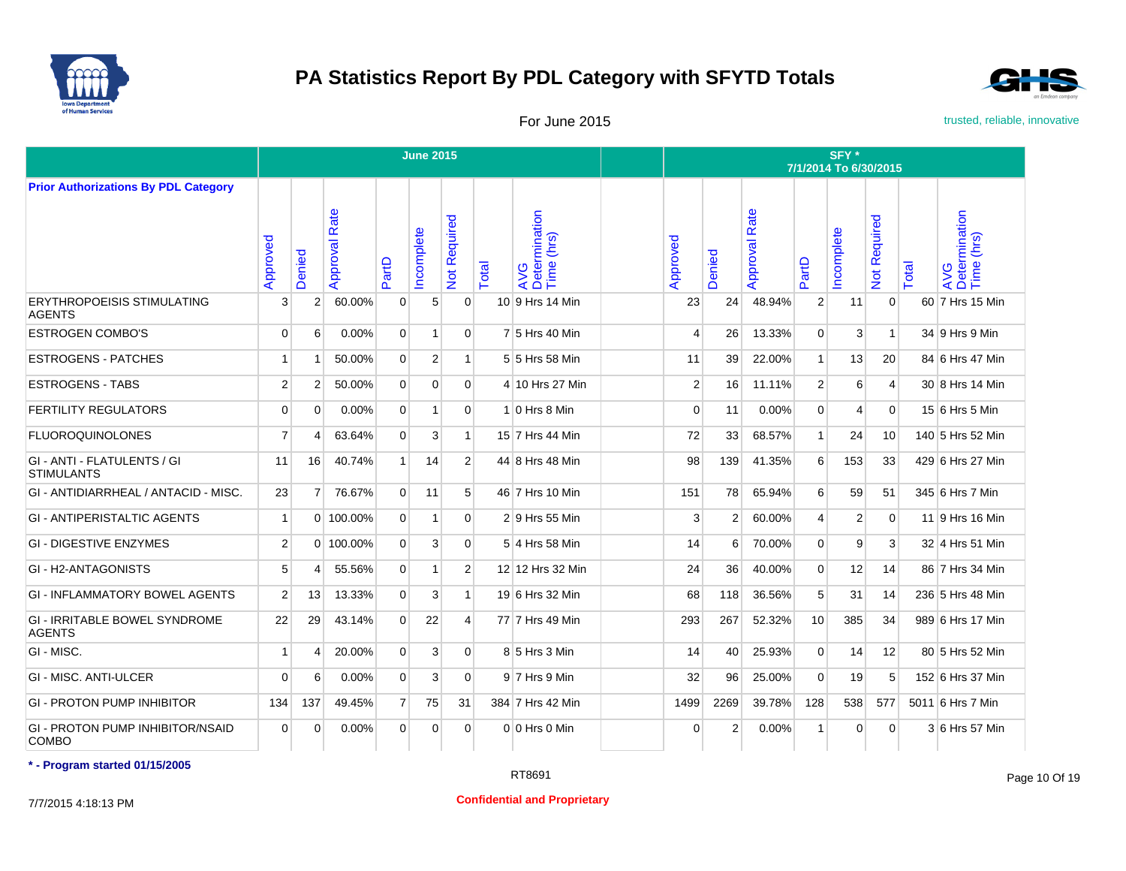



For June 2015 **For June 2015** trusted, reliable, innovative

|                                                         |                |                       |                      |                | <b>June 2015</b> |                |       |                                    |                |               |                      |                | SFY*<br>7/1/2014 To 6/30/2015 |                     |       |                                    |
|---------------------------------------------------------|----------------|-----------------------|----------------------|----------------|------------------|----------------|-------|------------------------------------|----------------|---------------|----------------------|----------------|-------------------------------|---------------------|-------|------------------------------------|
| <b>Prior Authorizations By PDL Category</b>             |                |                       |                      |                |                  |                |       |                                    |                |               |                      |                |                               |                     |       |                                    |
|                                                         | Approved       | Denied                | <b>Approval Rate</b> | PartD          | ncomplete        | Not Required   | Total | AVG<br>Determination<br>Time (hrs) | Approved       | Denied        | <b>Approval Rate</b> | PartD          | ncomplete                     | <b>Not Required</b> | Total | AVG<br>Determination<br>Time (hrs) |
| <b>ERYTHROPOEISIS STIMULATING</b><br><b>AGENTS</b>      | 3              | $\overline{2}$        | 60.00%               | $\Omega$       | 5 <sup>5</sup>   | $\Omega$       |       | 10 9 Hrs 14 Min                    | 23             | 24            | 48.94%               | $\overline{2}$ | 11                            | $\Omega$            |       | 60 7 Hrs 15 Min                    |
| <b>ESTROGEN COMBO'S</b>                                 | $\Omega$       | 6                     | 0.00%                | $\Omega$       | $\mathbf{1}$     | $\Omega$       |       | 7 5 Hrs 40 Min                     | 4              | 26            | 13.33%               | $\Omega$       | 3                             | $\mathbf{1}$        |       | 34 9 Hrs 9 Min                     |
| <b>ESTROGENS - PATCHES</b>                              | 1              | $\overline{1}$        | 50.00%               | $\overline{0}$ | 2 <sup>1</sup>   | 1              |       | 5 5 Hrs 58 Min                     | 11             | 39            | 22.00%               | $\mathbf{1}$   | 13                            | 20                  |       | 84 6 Hrs 47 Min                    |
| <b>ESTROGENS - TABS</b>                                 | $\overline{2}$ | $\overline{2}$        | 50.00%               | $\overline{0}$ | $\Omega$         | $\Omega$       |       | 4 10 Hrs 27 Min                    | $\overline{2}$ | 16            | 11.11%               | $\overline{2}$ | 6                             | $\overline{4}$      |       | 30 8 Hrs 14 Min                    |
| <b>FERTILITY REGULATORS</b>                             | $\Omega$       | $\Omega$              | 0.00%                | $\Omega$       | $\vert$          | $\Omega$       |       | $1 0$ Hrs 8 Min                    | $\Omega$       | 11            | 0.00%                | $\Omega$       | 4                             | $\Omega$            |       | 15 6 Hrs 5 Min                     |
| <b>FLUOROQUINOLONES</b>                                 | $\overline{7}$ | $\overline{4}$        | 63.64%               | $\Omega$       | $\mathbf{3}$     | $\mathbf{1}$   |       | 15 7 Hrs 44 Min                    | 72             | 33            | 68.57%               | 1              | 24                            | 10                  |       | 140 5 Hrs 52 Min                   |
| GI - ANTI - FLATULENTS / GI<br><b>STIMULANTS</b>        | 11             | 16                    | 40.74%               | $\mathbf{1}$   | 14               | $\overline{2}$ |       | 44 8 Hrs 48 Min                    | 98             | 139           | 41.35%               | 6              | 153                           | 33                  |       | 429 6 Hrs 27 Min                   |
| GI - ANTIDIARRHEAL / ANTACID - MISC.                    | 23             | $\overline{7}$        | 76.67%               | $\Omega$       | 11               | 5 <sup>5</sup> |       | 46 7 Hrs 10 Min                    | 151            | 78            | 65.94%               | 6              | 59                            | 51                  |       | 345 6 Hrs 7 Min                    |
| <b>GI - ANTIPERISTALTIC AGENTS</b>                      | $\mathbf{1}$   | $\Omega$              | 100.00%              | $\overline{0}$ | $\overline{1}$   | $\Omega$       |       | 2 9 Hrs 55 Min                     | 3              | 2             | 60.00%               | $\overline{4}$ | $\overline{2}$                | $\Omega$            |       | 11 9 Hrs 16 Min                    |
| <b>GI - DIGESTIVE ENZYMES</b>                           | 2              | $\Omega$              | 100.00%              | $\Omega$       | $\mathbf{3}$     | $\Omega$       |       | 5 4 Hrs 58 Min                     | 14             | 6             | 70.00%               | $\Omega$       | 9                             | $\mathbf{3}$        |       | 32 4 Hrs 51 Min                    |
| GI - H2-ANTAGONISTS                                     | 5              | 4                     | 55.56%               | $\Omega$       | $\mathbf{1}$     | $\overline{2}$ |       | 12 12 Hrs 32 Min                   | 24             | 36            | 40.00%               | $\Omega$       | 12                            | 14                  |       | 86 7 Hrs 34 Min                    |
| <b>GI - INFLAMMATORY BOWEL AGENTS</b>                   | 2              | 13                    | 13.33%               | $\overline{0}$ | $\mathbf{3}$     | $\mathbf{1}$   |       | 19 6 Hrs 32 Min                    | 68             | 118           | 36.56%               | 5              | 31                            | 14                  |       | 236 5 Hrs 48 Min                   |
| <b>GI - IRRITABLE BOWEL SYNDROME</b><br><b>AGENTS</b>   | 22             | 29                    | 43.14%               | $\overline{0}$ | 22               | $\vert$        |       | 77 7 Hrs 49 Min                    | 293            | 267           | 52.32%               | 10             | 385                           | 34                  |       | 989 6 Hrs 17 Min                   |
| GI - MISC.                                              | 1              | $\boldsymbol{\Delta}$ | 20.00%               | $\overline{0}$ | $\mathbf{3}$     | $\Omega$       |       | 8 5 Hrs 3 Min                      | 14             | 40            | 25.93%               | $\Omega$       | 14                            | 12                  |       | 80 5 Hrs 52 Min                    |
| <b>GI - MISC. ANTI-ULCER</b>                            | $\mathbf 0$    | 6                     | 0.00%                | $\overline{0}$ | 3 <sup>1</sup>   | $\overline{0}$ |       | $9$ 7 Hrs 9 Min                    | 32             | 96            | 25.00%               | $\mathbf{0}$   | 19                            | 5                   |       | 152 6 Hrs 37 Min                   |
| <b>GI - PROTON PUMP INHIBITOR</b>                       | 134            | 137                   | 49.45%               | 7 <sup>1</sup> | 75               | 31             |       | 384 7 Hrs 42 Min                   | 1499           | 2269          | 39.78%               | 128            | 538                           | 577                 |       | 5011 6 Hrs 7 Min                   |
| <b>GI - PROTON PUMP INHIBITOR/NSAID</b><br><b>COMBO</b> | $\Omega$       | $\Omega$              | 0.00%                | $\Omega$       | $\Omega$         | $\Omega$       |       | $0 0$ Hrs $0$ Min                  | $\Omega$       | $\mathcal{P}$ | 0.00%                | $\mathbf{1}$   | 0                             | $\Omega$            |       | 3 6 Hrs 57 Min                     |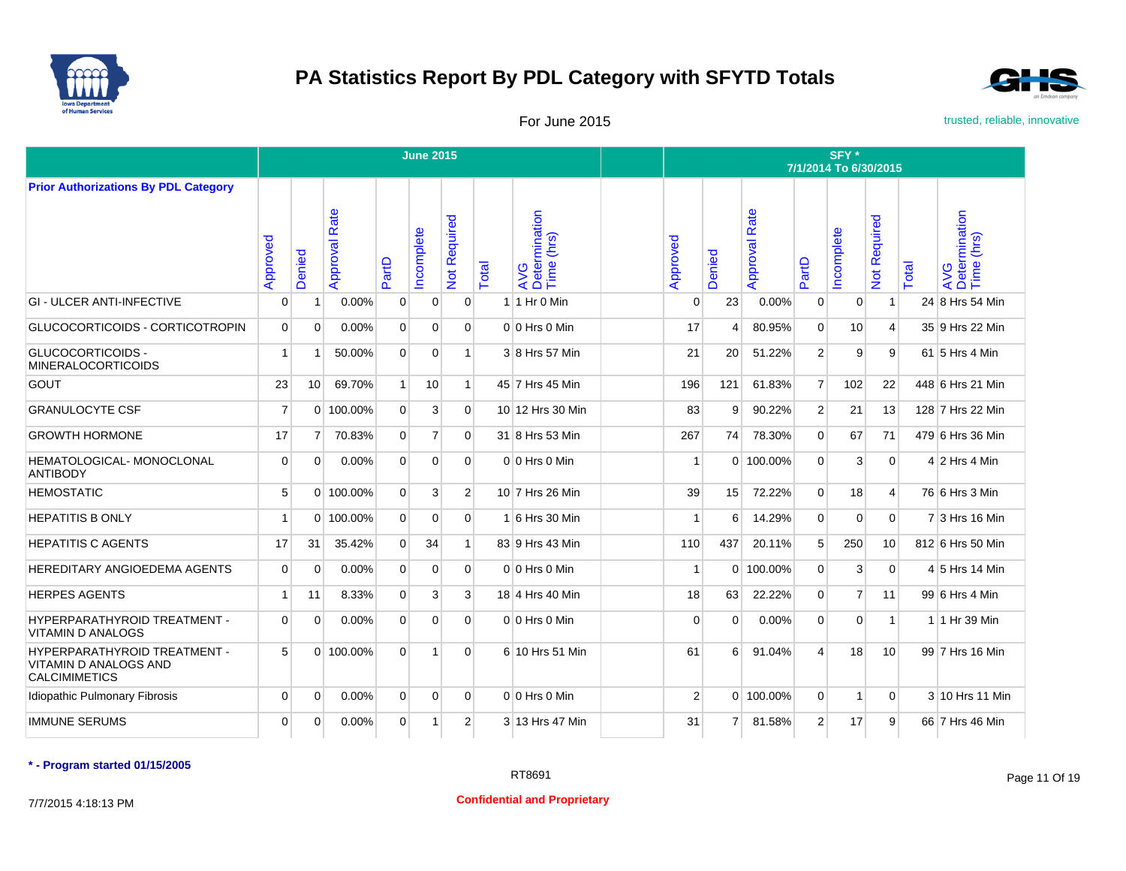



For June 2015 **For June 2015** trusted, reliable, innovative

|                                                                                      |                |                 |                  |                | <b>June 2015</b> |                |       |                                    |                |                |                      |                | SFY *<br>7/1/2014 To 6/30/2015 |                |       |                                    |
|--------------------------------------------------------------------------------------|----------------|-----------------|------------------|----------------|------------------|----------------|-------|------------------------------------|----------------|----------------|----------------------|----------------|--------------------------------|----------------|-------|------------------------------------|
| <b>Prior Authorizations By PDL Category</b>                                          |                |                 |                  |                |                  |                |       |                                    |                |                |                      |                |                                |                |       |                                    |
|                                                                                      | Approved       | Denied          | Rate<br>Approval | PartD          | ncomplete        | Not Required   | Total | AVG<br>Determination<br>Time (hrs) | Approved       | Denied         | <b>Approval Rate</b> | PartD          | ncomplete                      | Not Required   | Total | AVG<br>Determination<br>Time (hrs) |
| <b>GI - ULCER ANTI-INFECTIVE</b>                                                     | $\mathbf 0$    | $\mathbf 1$     | 0.00%            | $\mathbf 0$    | $\mathbf{0}$     | $\Omega$       |       | $1$   1 Hr 0 Min                   | $\Omega$       | 23             | 0.00%                | $\overline{0}$ | $\Omega$                       | $\mathbf{1}$   |       | 24 8 Hrs 54 Min                    |
| GLUCOCORTICOIDS - CORTICOTROPIN                                                      | $\Omega$       | $\Omega$        | 0.00%            | $\Omega$       | $\Omega$         | $\Omega$       |       | $0 0$ Hrs $0$ Min                  | 17             | 4              | 80.95%               | $\Omega$       | 10                             | $\overline{4}$ |       | 35 9 Hrs 22 Min                    |
| <b>GLUCOCORTICOIDS -</b><br><b>MINERALOCORTICOIDS</b>                                | $\mathbf{1}$   |                 | 50.00%           | $\Omega$       | $\mathbf{0}$     |                |       | 3 8 Hrs 57 Min                     | 21             | 20             | 51.22%               | 2 <sup>1</sup> | 9                              | 9              |       | 61 5 Hrs 4 Min                     |
| <b>GOUT</b>                                                                          | 23             | 10 <sup>1</sup> | 69.70%           | 1 <sup>1</sup> | 10               | 1              |       | 45 7 Hrs 45 Min                    | 196            | 121            | 61.83%               | 7 <sup>1</sup> | 102                            | 22             |       | 448 6 Hrs 21 Min                   |
| <b>GRANULOCYTE CSF</b>                                                               | $\overline{7}$ |                 | 0 100.00%        | $\Omega$       | 3                | $\Omega$       |       | 10 12 Hrs 30 Min                   | 83             | 9              | 90.22%               | 2 <sup>1</sup> | 21                             | 13             |       | 128 7 Hrs 22 Min                   |
| <b>GROWTH HORMONE</b>                                                                | 17             | 7               | 70.83%           | $\Omega$       | $\overline{7}$   | $\Omega$       |       | 31 8 Hrs 53 Min                    | 267            | 74             | 78.30%               | $\Omega$       | 67                             | 71             |       | 479 6 Hrs 36 Min                   |
| HEMATOLOGICAL- MONOCLONAL<br><b>ANTIBODY</b>                                         | $\Omega$       | $\mathbf 0$     | 0.00%            | $\Omega$       | $\Omega$         | $\Omega$       |       | $0 0$ Hrs $0$ Min                  | -1             |                | 0 100.00%            | $\Omega$       | 3                              | $\Omega$       |       | $4 2$ Hrs 4 Min                    |
| <b>HEMOSTATIC</b>                                                                    | 5              |                 | 0 100.00%        | $\Omega$       | 3                | 2 <sup>1</sup> |       | 10 7 Hrs 26 Min                    | 39             | 15             | 72.22%               | $\Omega$       | 18                             | $\overline{4}$ |       | 76 6 Hrs 3 Min                     |
| <b>HEPATITIS B ONLY</b>                                                              | $\mathbf{1}$   |                 | 0 100.00%        | $\Omega$       | $\mathbf{0}$     | $\Omega$       |       | 1 6 Hrs 30 Min                     | -1             | 6              | 14.29%               | $\overline{0}$ | 0                              | $\overline{0}$ |       | 7 3 Hrs 16 Min                     |
| <b>HEPATITIS C AGENTS</b>                                                            | 17             | 31              | 35.42%           | $\Omega$       | 34               |                |       | 83 9 Hrs 43 Min                    | 110            | 437            | 20.11%               | 5 <sup>1</sup> | 250                            | 10             |       | 812 6 Hrs 50 Min                   |
| HEREDITARY ANGIOEDEMA AGENTS                                                         | $\mathbf 0$    | $\mathbf 0$     | 0.00%            | $\mathbf 0$    | $\mathbf{0}$     | $\Omega$       |       | 0 0 Hrs 0 Min                      | -1             |                | 0 100.00%            | $\overline{0}$ | 3                              | $\mathbf 0$    |       | 4 5 Hrs 14 Min                     |
| <b>HERPES AGENTS</b>                                                                 | $\mathbf{1}$   | 11              | 8.33%            | $\Omega$       | 3                | $\mathbf{3}$   |       | 18 4 Hrs 40 Min                    | 18             | 63             | 22.22%               | $\Omega$       | $\overline{7}$                 | 11             |       | 99 6 Hrs 4 Min                     |
| HYPERPARATHYROID TREATMENT -<br><b>VITAMIN D ANALOGS</b>                             | $\Omega$       | $\mathbf 0$     | 0.00%            | $\Omega$       | $\Omega$         | $\Omega$       |       | 0 0 Hrs 0 Min                      | $\Omega$       | $\Omega$       | 0.00%                | $\Omega$       | 0                              | $\mathbf{1}$   |       | 1 1 Hr 39 Min                      |
| HYPERPARATHYROID TREATMENT -<br><b>VITAMIN D ANALOGS AND</b><br><b>CALCIMIMETICS</b> | 5              |                 | $0$ 100.00%      | $\Omega$       | $\mathbf{1}$     | $\Omega$       |       | 6 10 Hrs 51 Min                    | 61             | 6              | 91.04%               | $\overline{4}$ | 18                             | 10             |       | 99 7 Hrs 16 Min                    |
| Idiopathic Pulmonary Fibrosis                                                        | $\mathbf 0$    | $\mathbf 0$     | 0.00%            | $\Omega$       | $\mathbf{0}$     | $\Omega$       |       | $0 0$ Hrs 0 Min                    | $\overline{2}$ |                | 0 100.00%            | $\overline{0}$ | 1                              | $\overline{0}$ |       | 3 10 Hrs 11 Min                    |
| <b>IMMUNE SERUMS</b>                                                                 | 0              | $\mathbf 0$     | 0.00%            | $\overline{0}$ | $\mathbf{1}$     | $\overline{2}$ |       | 3 13 Hrs 47 Min                    | 31             | $\overline{7}$ | 81.58%               | 2 <sup>1</sup> | 17                             | 9              |       | 66 7 Hrs 46 Min                    |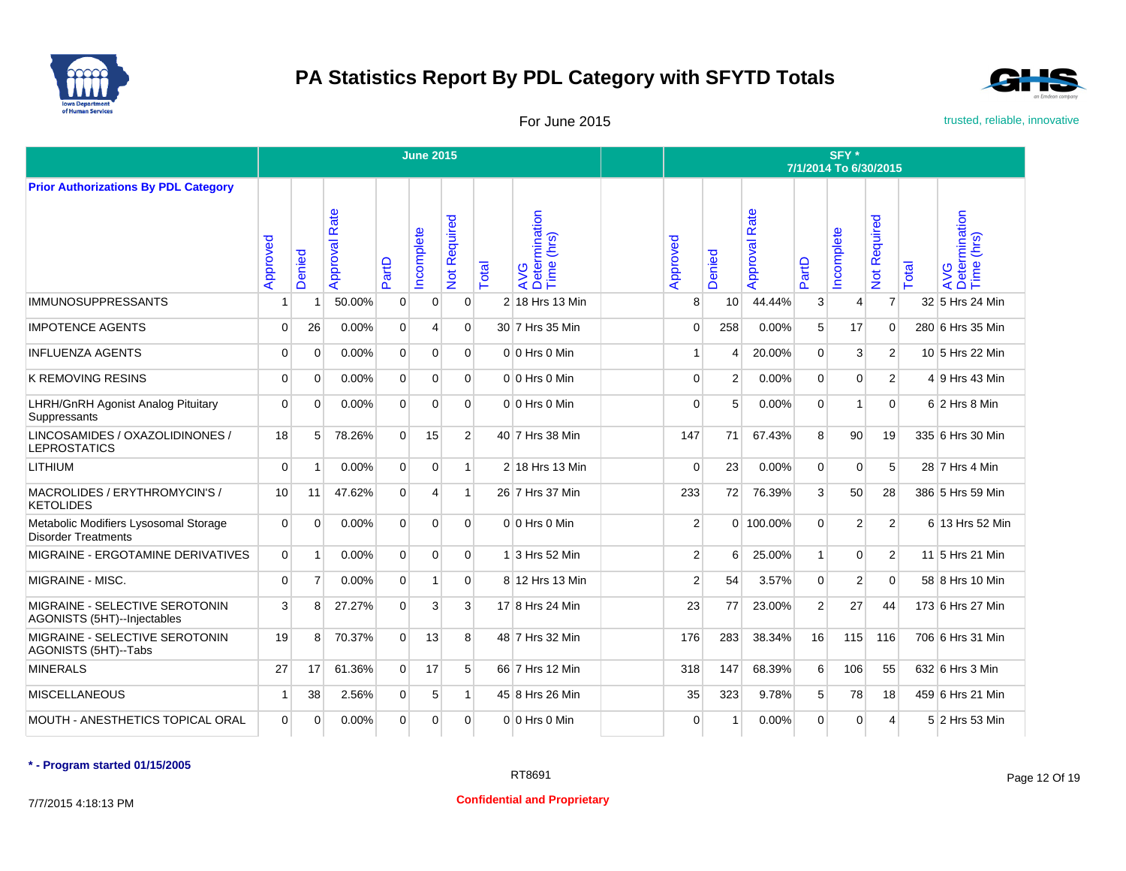



For June 2015 **For June 2015** trusted, reliable, innovative

|                                                                     |                |                         |                  |                | <b>June 2015</b> |                |       |                                    |                                    |                 |                      |                 | SFY*<br>7/1/2014 To 6/30/2015 |                     |       |                                    |
|---------------------------------------------------------------------|----------------|-------------------------|------------------|----------------|------------------|----------------|-------|------------------------------------|------------------------------------|-----------------|----------------------|-----------------|-------------------------------|---------------------|-------|------------------------------------|
| <b>Prior Authorizations By PDL Category</b>                         |                |                         |                  |                |                  |                |       |                                    |                                    |                 |                      |                 |                               |                     |       |                                    |
|                                                                     | Approved       | Denied                  | Rate<br>Approval | PartD          | ncomplete        | Not Required   | Total | AVG<br>Determination<br>Time (hrs) | $\overline{\mathbf{o}}$<br>Approve | Denied          | <b>Approval Rate</b> | PartD           | Incomplete                    | <b>Vot Required</b> | Total | AVG<br>Determination<br>Time (hrs) |
| <b>IMMUNOSUPPRESSANTS</b>                                           | 1              | $\overline{1}$          | 50.00%           | $\overline{0}$ | $\overline{0}$   | $\mathbf{0}$   |       | 2 18 Hrs 13 Min                    | 8                                  | 10 <sup>1</sup> | 44.44%               | 3               | 4                             | $\overline{7}$      |       | 32 5 Hrs 24 Min                    |
| <b>IMPOTENCE AGENTS</b>                                             | $\Omega$       | 26                      | 0.00%            | $\overline{0}$ | 4                | $\Omega$       |       | 30 7 Hrs 35 Min                    | $\Omega$                           | 258             | 0.00%                | $5\overline{5}$ | 17                            | $\Omega$            |       | 280 6 Hrs 35 Min                   |
| INFLUENZA AGENTS                                                    | 0              | $\Omega$                | 0.00%            | $\overline{0}$ | $\Omega$         | $\Omega$       |       | $0 0$ Hrs $0$ Min                  |                                    | 4               | 20.00%               | $\Omega$        | 3                             | $\overline{2}$      |       | 10 5 Hrs 22 Min                    |
| <b>K REMOVING RESINS</b>                                            | $\Omega$       | $\Omega$                | 0.00%            | $\overline{0}$ | $\Omega$         | $\Omega$       |       | 0 0 Hrs 0 Min                      | $\Omega$                           | $\overline{2}$  | 0.00%                | $\mathbf{0}$    | $\mathbf 0$                   | $\overline{2}$      |       | 4 9 Hrs 43 Min                     |
| <b>LHRH/GnRH Agonist Analog Pituitary</b><br>Suppressants           | $\Omega$       | $\Omega$                | 0.00%            | $\Omega$       | $\Omega$         | $\Omega$       |       | 0 0 Hrs 0 Min                      | $\Omega$                           | 5               | 0.00%                | $\Omega$        | 1                             | $\Omega$            |       | 6 2 Hrs 8 Min                      |
| LINCOSAMIDES / OXAZOLIDINONES /<br><b>LEPROSTATICS</b>              | 18             | 5                       | 78.26%           | $\overline{0}$ | 15               | $\overline{2}$ |       | 40 7 Hrs 38 Min                    | 147                                | 71              | 67.43%               | 8               | 90                            | 19                  |       | 335 6 Hrs 30 Min                   |
| LITHIUM                                                             | $\Omega$       | $\overline{\mathbf{1}}$ | 0.00%            | $\overline{0}$ | $\overline{0}$   | $\mathbf{1}$   |       | 2 18 Hrs 13 Min                    | $\Omega$                           | 23              | 0.00%                | $\mathbf{0}$    | $\mathbf 0$                   | 5                   |       | 28 7 Hrs 4 Min                     |
| MACROLIDES / ERYTHROMYCIN'S /<br><b>KETOLIDES</b>                   | 10             | 11                      | 47.62%           | $\Omega$       | 4                | $\mathbf{1}$   |       | 26 7 Hrs 37 Min                    | 233                                | 72              | 76.39%               | 3               | 50                            | 28                  |       | 386 5 Hrs 59 Min                   |
| Metabolic Modifiers Lysosomal Storage<br><b>Disorder Treatments</b> | $\Omega$       | $\Omega$                | 0.00%            | $\Omega$       | $\overline{0}$   | $\Omega$       |       | 0 0 Hrs 0 Min                      | $\overline{2}$                     |                 | 0 100.00%            | $\Omega$        | $\overline{2}$                | $\overline{2}$      |       | 6 13 Hrs 52 Min                    |
| MIGRAINE - ERGOTAMINE DERIVATIVES                                   | $\Omega$       | -1                      | 0.00%            | $\Omega$       | $\Omega$         | $\Omega$       | 1     | 3 Hrs 52 Min                       | $\overline{2}$                     | 6               | 25.00%               | $\mathbf{1}$    | $\Omega$                      | $\overline{2}$      |       | 11 5 Hrs 21 Min                    |
| MIGRAINE - MISC.                                                    | $\Omega$       | $\overline{7}$          | 0.00%            | $\Omega$       | $\mathbf{1}$     | $\Omega$       |       | 8 12 Hrs 13 Min                    | $\overline{2}$                     | 54              | 3.57%                | $\Omega$        | $\overline{2}$                | $\mathbf{0}$        |       | 58 8 Hrs 10 Min                    |
| MIGRAINE - SELECTIVE SEROTONIN<br>AGONISTS (5HT)--Injectables       | 3              | 8                       | 27.27%           | $\Omega$       | 3                | 3              |       | 17 8 Hrs 24 Min                    | 23                                 | 77              | 23.00%               | $\overline{2}$  | 27                            | 44                  |       | 173 6 Hrs 27 Min                   |
| MIGRAINE - SELECTIVE SEROTONIN<br>AGONISTS (5HT)--Tabs              | 19             | 8                       | 70.37%           | $\Omega$       | 13               | 8              |       | 48 7 Hrs 32 Min                    | 176                                | 283             | 38.34%               | 16              | 115                           | 116                 |       | 706 6 Hrs 31 Min                   |
| <b>MINERALS</b>                                                     | 27             | 17                      | 61.36%           | $\overline{0}$ | 17               | 5              |       | 66 7 Hrs 12 Min                    | 318                                | 147             | 68.39%               | 6               | 106                           | 55                  |       | 632 6 Hrs 3 Min                    |
| <b>MISCELLANEOUS</b>                                                | 1              | 38                      | 2.56%            | $\overline{0}$ | 5                |                |       | 45 8 Hrs 26 Min                    | 35                                 | 323             | 9.78%                | 5               | 78                            | 18                  |       | 459 6 Hrs 21 Min                   |
| MOUTH - ANESTHETICS TOPICAL ORAL                                    | $\overline{0}$ | 0                       | 0.00%            | $\overline{0}$ | $\overline{0}$   | $\mathbf{0}$   |       | 0 0 Hrs 0 Min                      | 0                                  | -1              | 0.00%                | $\mathbf 0$     | 0                             | 4                   |       | 5 2 Hrs 53 Min                     |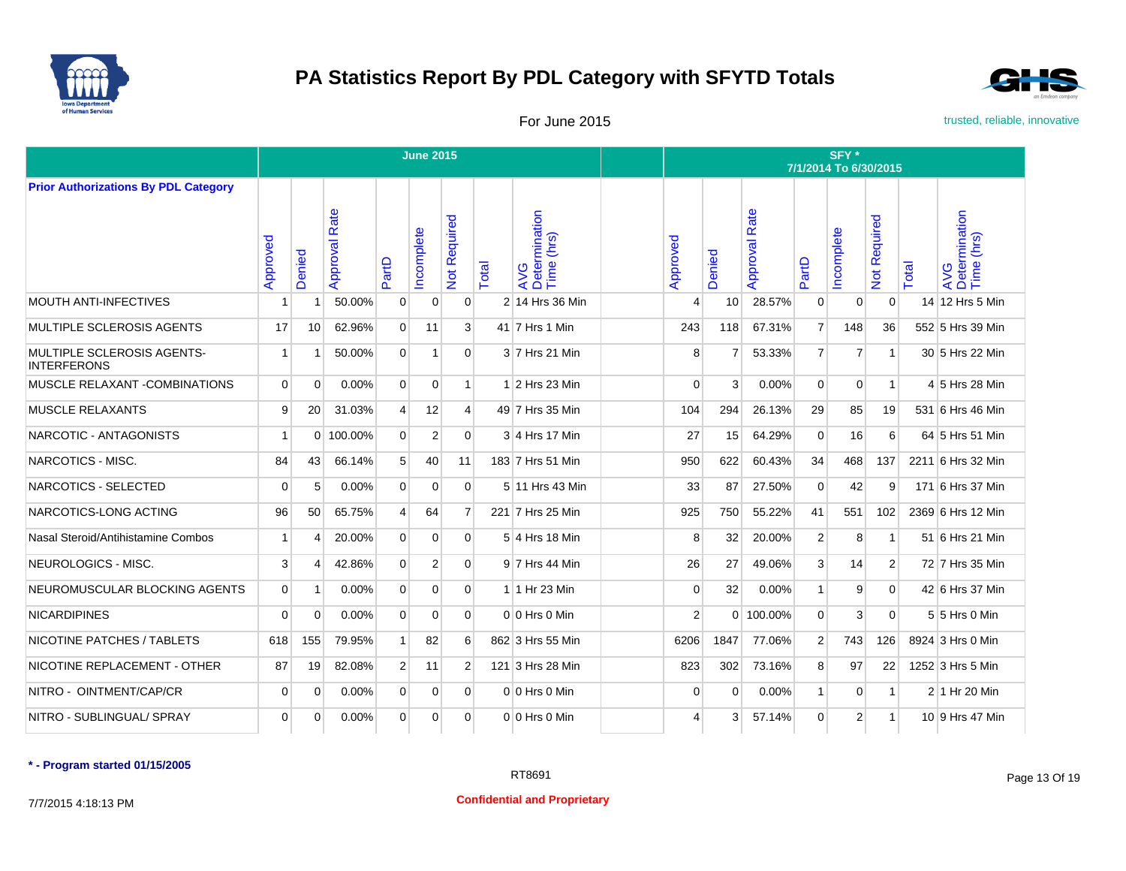



For June 2015 **For June 2015** trusted, reliable, innovative

|                                                  |                |          |                  |                | <b>June 2015</b> |                     |       |                                    | SFY *<br>7/1/2014 To 6/30/2015 |              |                      |                |                |                     |       |                                    |  |  |
|--------------------------------------------------|----------------|----------|------------------|----------------|------------------|---------------------|-------|------------------------------------|--------------------------------|--------------|----------------------|----------------|----------------|---------------------|-------|------------------------------------|--|--|
| <b>Prior Authorizations By PDL Category</b>      |                |          |                  |                |                  |                     |       |                                    |                                |              |                      |                |                |                     |       |                                    |  |  |
|                                                  | Approved       | Denied   | Rate<br>Approval | PartD          | ncomplete        | <b>Not Required</b> | Total | AVG<br>Determination<br>Time (hrs) | Approved                       | Denied       | <b>Approval Rate</b> | PartD          | Incomplete     | <b>Not Required</b> | Total | AVG<br>Determination<br>Time (hrs) |  |  |
| <b>MOUTH ANTI-INFECTIVES</b>                     |                | 1        | 50.00%           | $\mathbf 0$    | $\mathbf 0$      | $\mathbf 0$         |       | 2 14 Hrs 36 Min                    | Δ                              | 10           | 28.57%               | $\mathbf 0$    | $\mathbf 0$    | $\mathbf 0$         |       | 14 12 Hrs 5 Min                    |  |  |
| MULTIPLE SCLEROSIS AGENTS                        | 17             | 10       | 62.96%           | $\Omega$       | 11               | $\mathbf{3}$        |       | 41 7 Hrs 1 Min                     | 243                            | 118          | 67.31%               | $\overline{7}$ | 148            | 36                  |       | 552 5 Hrs 39 Min                   |  |  |
| MULTIPLE SCLEROSIS AGENTS-<br><b>INTERFERONS</b> | $\mathbf{1}$   |          | 50.00%           | $\overline{0}$ | 1                | $\Omega$            |       | 3 7 Hrs 21 Min                     | 8                              | 7            | 53.33%               | $\overline{7}$ | $\overline{7}$ | $\mathbf{1}$        |       | 30 5 Hrs 22 Min                    |  |  |
| MUSCLE RELAXANT - COMBINATIONS                   | $\overline{0}$ | $\Omega$ | 0.00%            | $\overline{0}$ | $\mathbf 0$      | $\mathbf{1}$        |       | $1$ 2 Hrs 23 Min                   | $\Omega$                       | 3            | 0.00%                | $\mathbf 0$    | 0              | $\mathbf{1}$        |       | 4 5 Hrs 28 Min                     |  |  |
| <b>MUSCLE RELAXANTS</b>                          | 9              | 20       | 31.03%           | $\overline{4}$ | 12               | $\overline{4}$      |       | 49 7 Hrs 35 Min                    | 104                            | 294          | 26.13%               | 29             | 85             | 19                  |       | 531 6 Hrs 46 Min                   |  |  |
| NARCOTIC - ANTAGONISTS                           | $\mathbf{1}$   | $\Omega$ | 100.00%          | $\overline{0}$ | $\overline{2}$   | $\overline{0}$      |       | $3$ 4 Hrs 17 Min                   | 27                             | 15           | 64.29%               | $\mathbf 0$    | 16             | 6                   |       | 64 5 Hrs 51 Min                    |  |  |
| NARCOTICS - MISC.                                | 84             | 43       | 66.14%           | 5 <sup>5</sup> | 40               | 11                  |       | 183 7 Hrs 51 Min                   | 950                            | 622          | 60.43%               | 34             | 468            | 137                 |       | 2211 6 Hrs 32 Min                  |  |  |
| NARCOTICS - SELECTED                             | $\Omega$       | 5        | 0.00%            | $\overline{0}$ | $\mathbf 0$      | $\overline{0}$      |       | 5 11 Hrs 43 Min                    | 33                             | 87           | 27.50%               | $\mathbf 0$    | 42             | 9                   |       | 171 6 Hrs 37 Min                   |  |  |
| NARCOTICS-LONG ACTING                            | 96             | 50       | 65.75%           | $\overline{4}$ | 64               | $\overline{7}$      |       | 221 7 Hrs 25 Min                   | 925                            | 750          | 55.22%               | 41             | 551            | 102                 |       | 2369 6 Hrs 12 Min                  |  |  |
| Nasal Steroid/Antihistamine Combos               | $\mathbf{1}$   | Δ        | 20.00%           | $\overline{0}$ | 0                | $\overline{0}$      |       | $5$ 4 Hrs 18 Min                   | 8                              | 32           | 20.00%               | $\vert$ 2      | 8              | $\mathbf{1}$        |       | 51 6 Hrs 21 Min                    |  |  |
| NEUROLOGICS - MISC.                              | 3              | Δ        | 42.86%           | $\overline{0}$ | 2                | $\overline{0}$      |       | 9 7 Hrs 44 Min                     | 26                             | 27           | 49.06%               | 3              | 14             | $\overline{2}$      |       | 72 7 Hrs 35 Min                    |  |  |
| NEUROMUSCULAR BLOCKING AGENTS                    | $\overline{0}$ |          | 0.00%            | $\overline{0}$ | $\mathbf 0$      | $\overline{0}$      |       | 1 1 Hr 23 Min                      | 0                              | 32           | 0.00%                | $\mathbf{1}$   | 9              | $\mathbf 0$         |       | 42 6 Hrs 37 Min                    |  |  |
| <b>NICARDIPINES</b>                              | $\Omega$       | $\Omega$ | 0.00%            | $\overline{0}$ | $\mathbf 0$      | $\overline{0}$      |       | 0 0 Hrs 0 Min                      | $\overline{2}$                 |              | 0 100.00%            | $\overline{0}$ | 3              | $\mathbf 0$         |       | 5 5 Hrs 0 Min                      |  |  |
| NICOTINE PATCHES / TABLETS                       | 618            | 155      | 79.95%           | $\mathbf{1}$   | 82               | 6                   |       | 862 3 Hrs 55 Min                   | 6206                           | 1847         | 77.06%               | $\overline{2}$ | 743            | 126                 |       | 8924 3 Hrs 0 Min                   |  |  |
| NICOTINE REPLACEMENT - OTHER                     | 87             | 19       | 82.08%           | $\overline{2}$ | 11               | 2                   |       | 121 3 Hrs 28 Min                   | 823                            | 302          | 73.16%               | 8              | 97             | 22                  |       | 1252 3 Hrs 5 Min                   |  |  |
| NITRO - OINTMENT/CAP/CR                          | $\overline{0}$ | $\Omega$ | 0.00%            | $\overline{0}$ | $\mathbf 0$      | $\overline{0}$      |       | 0 0 Hrs 0 Min                      | $\mathbf 0$                    | $\Omega$     | 0.00%                | $\mathbf{1}$   | 0              | $\mathbf{1}$        |       | 2 1 Hr 20 Min                      |  |  |
| NITRO - SUBLINGUAL/ SPRAY                        | $\overline{0}$ | 0        | 0.00%            | $\overline{0}$ | $\mathbf 0$      | $\overline{0}$      |       | 0 0 Hrs 0 Min                      | 4                              | $\mathbf{3}$ | 57.14%               | $\mathbf 0$    | $\overline{2}$ | $\mathbf{1}$        |       | 10 9 Hrs 47 Min                    |  |  |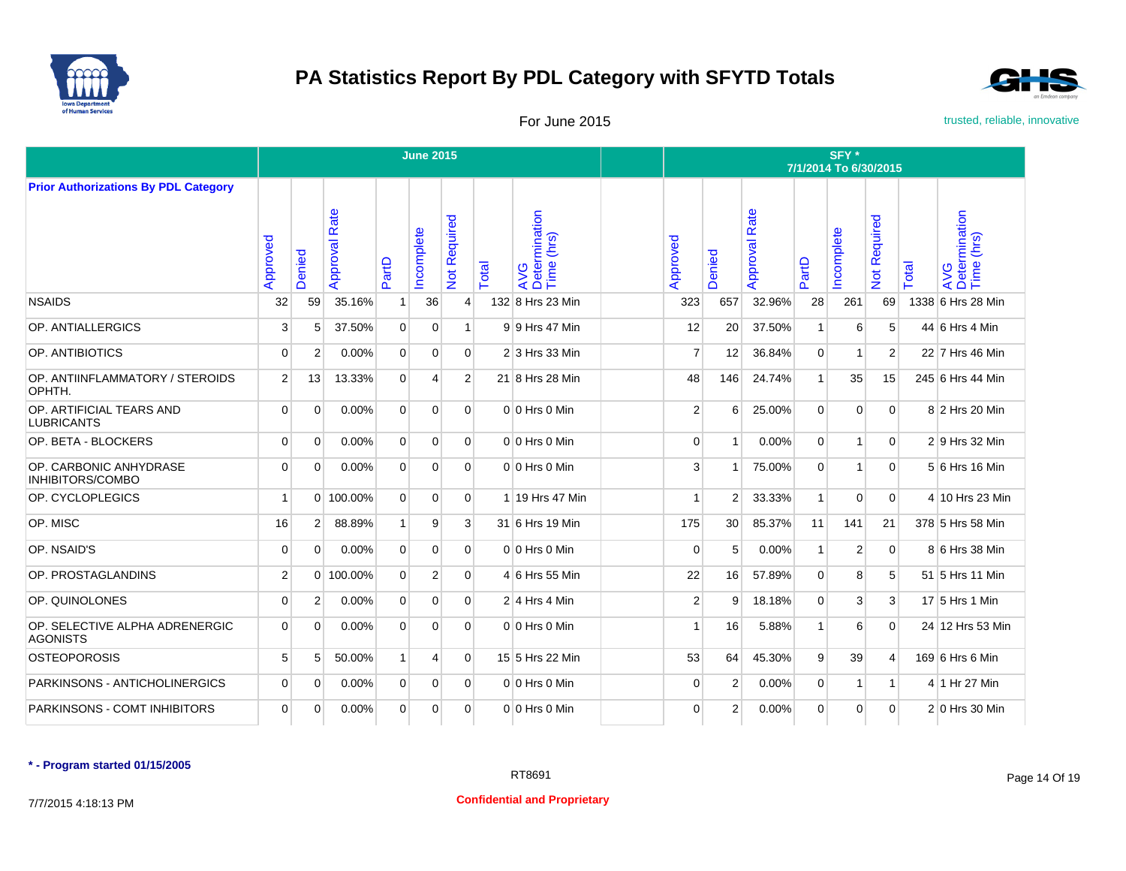



For June 2015 **For June 2015** trusted, reliable, innovative

|                                                   |                |                |                  |                | <b>June 2015</b> |                                     |       |                                    | SFY*<br>7/1/2014 To 6/30/2015 |                |                      |                |                  |                               |       |                                    |  |  |
|---------------------------------------------------|----------------|----------------|------------------|----------------|------------------|-------------------------------------|-------|------------------------------------|-------------------------------|----------------|----------------------|----------------|------------------|-------------------------------|-------|------------------------------------|--|--|
| <b>Prior Authorizations By PDL Category</b>       |                |                |                  |                |                  |                                     |       |                                    |                               |                |                      |                |                  |                               |       |                                    |  |  |
|                                                   | Approved       | Denied         | Rate<br>Approval | PartD          | ncomplete        | Required<br>$\overline{\mathsf{z}}$ | Total | AVG<br>Determination<br>Time (hrs) | Approved                      | Denied         | <b>Approval Rate</b> | PartD          | Incomplete       | equired<br>œ<br>$\frac{5}{2}$ | Total | AVG<br>Determination<br>Time (hrs) |  |  |
| <b>NSAIDS</b>                                     | 32             | 59             | 35.16%           | 1              | 36               | 4                                   |       | 132 8 Hrs 23 Min                   | 323                           | 657            | 32.96%               | 28             | 261              | 69                            |       | 1338 6 Hrs 28 Min                  |  |  |
| OP. ANTIALLERGICS                                 | 3              | 5              | 37.50%           | $\overline{0}$ | $\overline{0}$   | $\mathbf{1}$                        |       | 9 9 Hrs 47 Min                     | 12                            | 20             | 37.50%               | $\mathbf{1}$   | 6                | 5                             |       | 44 6 Hrs 4 Min                     |  |  |
| OP. ANTIBIOTICS                                   | $\Omega$       | $\overline{2}$ | 0.00%            | $\overline{0}$ | $\Omega$         | $\overline{0}$                      |       | 2 3 Hrs 33 Min                     | $\overline{7}$                | 12             | 36.84%               | $\mathbf{0}$   | $\mathbf{1}$     | $\overline{2}$                |       | 22 7 Hrs 46 Min                    |  |  |
| OP. ANTIINFLAMMATORY / STEROIDS<br>OPHTH.         | 2              | 13             | 13.33%           | $\overline{0}$ | 4                | 2 <sup>1</sup>                      |       | 21 8 Hrs 28 Min                    | 48                            | 146            | 24.74%               | $\mathbf{1}$   | 35               | 15                            |       | 245 6 Hrs 44 Min                   |  |  |
| OP. ARTIFICIAL TEARS AND<br><b>LUBRICANTS</b>     | $\Omega$       | $\Omega$       | 0.00%            | $\overline{0}$ | $\mathbf{0}$     | $\Omega$                            |       | 0 0 Hrs 0 Min                      | $\overline{2}$                | 6              | 25.00%               | $\mathbf{0}$   | $\mathbf 0$      | $\mathbf{0}$                  |       | 8 2 Hrs 20 Min                     |  |  |
| OP. BETA - BLOCKERS                               | $\Omega$       | $\Omega$       | 0.00%            | $\overline{0}$ | $\Omega$         | $\Omega$                            |       | $0 0$ Hrs $0$ Min                  | $\Omega$                      | -1             | 0.00%                | $\Omega$       | $\mathbf{1}$     | $\mathbf{0}$                  |       | 2 9 Hrs 32 Min                     |  |  |
| OP. CARBONIC ANHYDRASE<br>INHIBITORS/COMBO        | $\mathbf 0$    | $\mathbf 0$    | 0.00%            | $\mathbf 0$    | $\overline{0}$   | $\overline{0}$                      |       | 0 0 Hrs 0 Min                      | 3                             | -1             | 75.00%               | $\overline{0}$ | 1                | $\mathbf{0}$                  |       | 5 6 Hrs 16 Min                     |  |  |
| OP. CYCLOPLEGICS                                  | 1              | $\Omega$       | 100.00%          | $\overline{0}$ | $\mathbf{0}$     | $\Omega$                            |       | 1 19 Hrs 47 Min                    | $\overline{1}$                | 2              | 33.33%               | $\mathbf{1}$   | $\mathbf 0$      | $\overline{0}$                |       | 4 10 Hrs 23 Min                    |  |  |
| OP. MISC                                          | 16             | 2              | 88.89%           | 1 <sup>1</sup> | 9                | $\mathbf{3}$                        |       | 31 6 Hrs 19 Min                    | 175                           | 30             | 85.37%               | 11             | 141              | 21                            |       | 378 5 Hrs 58 Min                   |  |  |
| OP. NSAID'S                                       | 0              | $\Omega$       | 0.00%            | $\overline{0}$ | $\Omega$         | $\Omega$                            |       | $0 0$ Hrs $0$ Min                  | $\Omega$                      | 5              | 0.00%                | $\mathbf{1}$   | $\boldsymbol{2}$ | $\mathbf{0}$                  |       | 8 6 Hrs 38 Min                     |  |  |
| OP. PROSTAGLANDINS                                | 2              | $\Omega$       | 100.00%          | $\overline{0}$ | 2                | $\Omega$                            |       | 4 6 Hrs 55 Min                     | 22                            | 16             | 57.89%               | $\mathbf{0}$   | 8                | 5                             |       | 51 5 Hrs 11 Min                    |  |  |
| OP. QUINOLONES                                    | $\overline{0}$ | 2              | 0.00%            | $\overline{0}$ | $\mathbf{0}$     | $\overline{0}$                      |       | $2 \mid 4 \mid$ Hrs 4 Min          | $\overline{2}$                | 9              | 18.18%               | $\overline{0}$ | 3                | 3                             |       | 17 5 Hrs 1 Min                     |  |  |
| OP. SELECTIVE ALPHA ADRENERGIC<br><b>AGONISTS</b> | $\mathbf 0$    | $\mathbf 0$    | 0.00%            | $\overline{0}$ | $\Omega$         | $\Omega$                            |       | 0 0 Hrs 0 Min                      | 1                             | 16             | 5.88%                | $\mathbf{1}$   | 6                | $\mathbf{0}$                  |       | 24 12 Hrs 53 Min                   |  |  |
| <b>OSTEOPOROSIS</b>                               | 5              | 5              | 50.00%           | 1              | 4                | $\Omega$                            |       | 15 5 Hrs 22 Min                    | 53                            | 64             | 45.30%               | $\overline{9}$ | 39               | $\overline{4}$                |       | 169 6 Hrs 6 Min                    |  |  |
| PARKINSONS - ANTICHOLINERGICS                     | 0              | $\Omega$       | 0.00%            | $\overline{0}$ | $\mathbf{0}$     | $\overline{0}$                      |       | $0 0$ Hrs $0$ Min                  | $\Omega$                      | $\overline{2}$ | 0.00%                | $\overline{0}$ | 1                | $\mathbf{1}$                  |       | 4 1 Hr 27 Min                      |  |  |
| PARKINSONS - COMT INHIBITORS                      | $\Omega$       | $\Omega$       | 0.00%            | $\overline{0}$ | $\overline{0}$   | $\Omega$                            |       | $0 0$ Hrs $0$ Min                  | $\Omega$                      | $\overline{2}$ | 0.00%                | $\mathbf{0}$   | 0                | $\mathbf{0}$                  |       | $2 0$ Hrs 30 Min                   |  |  |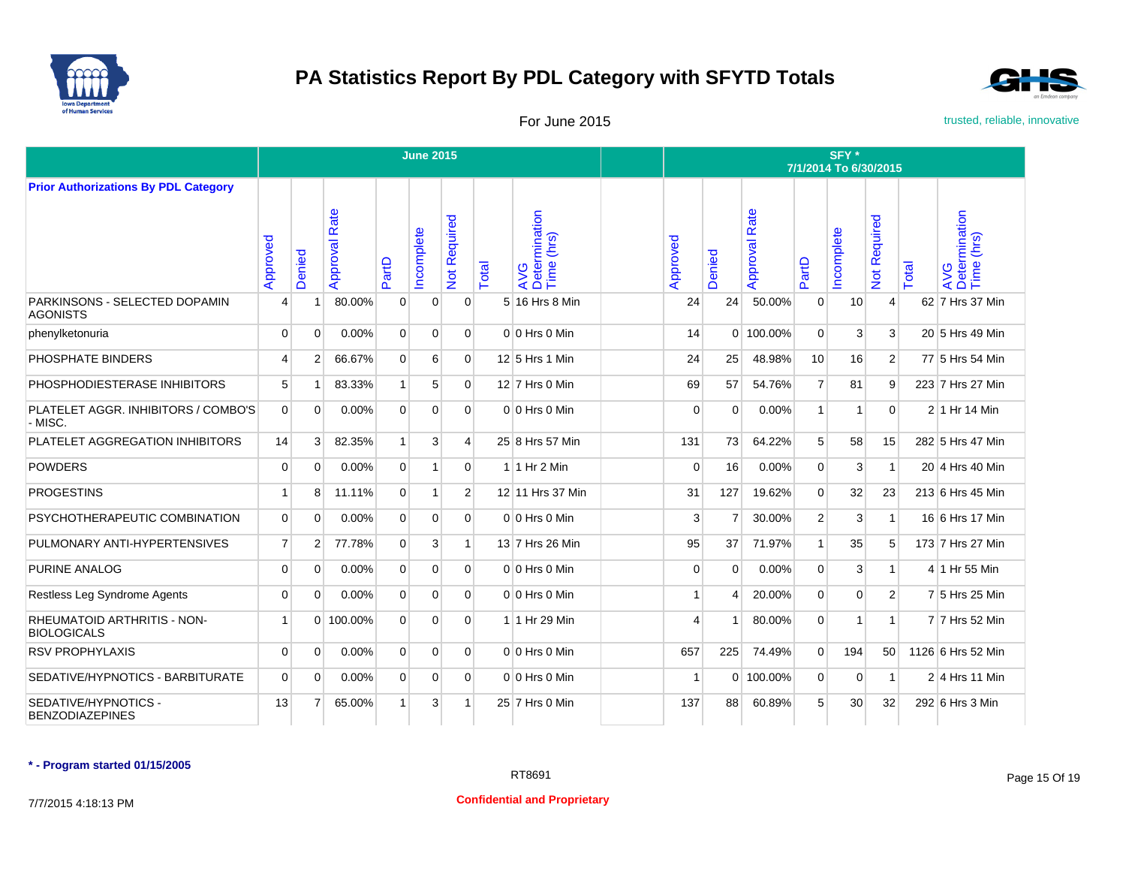



For June 2015 **For June 2015** trusted, reliable, innovative

|                                                   |                |                |                  |                | <b>June 2015</b> |                |       |                                    | SFY*<br>7/1/2014 To 6/30/2015 |                         |                      |                |           |                        |       |                                    |  |  |
|---------------------------------------------------|----------------|----------------|------------------|----------------|------------------|----------------|-------|------------------------------------|-------------------------------|-------------------------|----------------------|----------------|-----------|------------------------|-------|------------------------------------|--|--|
| <b>Prior Authorizations By PDL Category</b>       |                |                |                  |                |                  |                |       |                                    |                               |                         |                      |                |           |                        |       |                                    |  |  |
|                                                   | Approved       | Denied         | Rate<br>Approval | PartD          | ncomplete        | Not Required   | Total | AVG<br>Determination<br>Time (hrs) | Approved                      | Denied                  | <b>Approval Rate</b> | PartD          | ncomplete | Required<br><b>Not</b> | Total | AVG<br>Determination<br>Time (hrs) |  |  |
| PARKINSONS - SELECTED DOPAMIN<br><b>AGONISTS</b>  | 4              |                | 80.00%           | $\Omega$       | $\mathbf{0}$     | $\Omega$       |       | 5 16 Hrs 8 Min                     | 24                            | 24                      | 50.00%               | $\mathbf{0}$   | 10        | $\overline{4}$         |       | 62 7 Hrs 37 Min                    |  |  |
| phenylketonuria                                   | $\Omega$       | $\Omega$       | 0.00%            | $\Omega$       | $\Omega$         | $\Omega$       |       | $0 0$ Hrs $0$ Min                  | 14                            |                         | 0 100.00%            | $\Omega$       | 3         | 3                      |       | $20 \vert 5$ Hrs 49 Min            |  |  |
| PHOSPHATE BINDERS                                 | 4              | $\overline{2}$ | 66.67%           | $\overline{0}$ | 6                | $\Omega$       |       | 12 5 Hrs 1 Min                     | 24                            | 25                      | 48.98%               | 10             | 16        | $\overline{2}$         |       | 77 5 Hrs 54 Min                    |  |  |
| PHOSPHODIESTERASE INHIBITORS                      | 5              | $\overline{1}$ | 83.33%           | 1              | 5                | $\Omega$       |       | $12$ 7 Hrs 0 Min                   | 69                            | 57                      | 54.76%               | $\overline{7}$ | 81        | 9                      |       | 223 7 Hrs 27 Min                   |  |  |
| PLATELET AGGR. INHIBITORS / COMBO'S<br>- MISC.    | $\Omega$       | $\Omega$       | 0.00%            | $\Omega$       | $\Omega$         | $\Omega$       |       | $0 0$ Hrs $0$ Min                  | $\Omega$                      | $\Omega$                | 0.00%                | $\mathbf{1}$   | 1         | $\Omega$               |       | 2 1 Hr 14 Min                      |  |  |
| PLATELET AGGREGATION INHIBITORS                   | 14             | 3              | 82.35%           | 1              | 3                | 4              |       | 25 8 Hrs 57 Min                    | 131                           | 73                      | 64.22%               | 5              | 58        | 15                     |       | 282 5 Hrs 47 Min                   |  |  |
| <b>POWDERS</b>                                    | $\Omega$       | $\Omega$       | 0.00%            | $\overline{0}$ | 1                | $\Omega$       |       | 1 1 Hr 2 Min                       | $\Omega$                      | 16                      | 0.00%                | $\mathbf{0}$   | 3         | $\mathbf{1}$           |       | 20 4 Hrs 40 Min                    |  |  |
| <b>PROGESTINS</b>                                 | 1              | 8              | 11.11%           | $\overline{0}$ | 1 <sup>1</sup>   | $\overline{2}$ |       | 12 11 Hrs 37 Min                   | 31                            | 127                     | 19.62%               | $\Omega$       | 32        | 23                     |       | 213 6 Hrs 45 Min                   |  |  |
| PSYCHOTHERAPEUTIC COMBINATION                     | $\Omega$       | $\Omega$       | 0.00%            | $\overline{0}$ | $\Omega$         | $\Omega$       |       | $0 0$ Hrs $0$ Min                  | 3                             | $\overline{7}$          | 30.00%               | 2 <sup>1</sup> | 3         | $\mathbf{1}$           |       | 16 6 Hrs 17 Min                    |  |  |
| PULMONARY ANTI-HYPERTENSIVES                      | $\overline{7}$ | $\overline{2}$ | 77.78%           | $\Omega$       | 3                | 1              |       | 13 7 Hrs 26 Min                    | 95                            | 37                      | 71.97%               | $\mathbf{1}$   | 35        | 5                      |       | 173 7 Hrs 27 Min                   |  |  |
| PURINE ANALOG                                     | $\mathbf 0$    | $\mathbf 0$    | 0.00%            | $\overline{0}$ | $\overline{0}$   | $\Omega$       |       | $0 0$ Hrs $0$ Min                  | $\Omega$                      | $\Omega$                | 0.00%                | $\overline{0}$ | 3         | $\mathbf{1}$           |       | 4 1 Hr 55 Min                      |  |  |
| Restless Leg Syndrome Agents                      | $\Omega$       | $\mathbf 0$    | 0.00%            | $\overline{0}$ | $\Omega$         | $\Omega$       |       | $0 0$ Hrs $0$ Min                  | $\mathbf{1}$                  | $\overline{\mathbf{4}}$ | 20.00%               | $\Omega$       | 0         | $\overline{2}$         |       | 7 5 Hrs 25 Min                     |  |  |
| RHEUMATOID ARTHRITIS - NON-<br><b>BIOLOGICALS</b> | 1              | $\Omega$       | 100.00%          | $\Omega$       | $\Omega$         | $\Omega$       |       | 1 1 Hr 29 Min                      | 4                             |                         | 80.00%               | $\Omega$       | 1         | $\mathbf{1}$           |       | 7 7 Hrs 52 Min                     |  |  |
| <b>RSV PROPHYLAXIS</b>                            | $\Omega$       | $\Omega$       | 0.00%            | $\Omega$       | $\Omega$         | $\Omega$       |       | $0 0$ Hrs $0$ Min                  | 657                           | 225                     | 74.49%               | $\Omega$       | 194       | 50                     |       | 1126 6 Hrs 52 Min                  |  |  |
| SEDATIVE/HYPNOTICS - BARBITURATE                  | $\mathbf 0$    | $\Omega$       | 0.00%            | $\overline{0}$ | $\mathbf{0}$     | $\Omega$       |       | $0 0$ Hrs $0$ Min                  | -1                            |                         | 0 100.00%            | $\overline{0}$ | 0         | $\mathbf{1}$           |       | $2 4$ Hrs 11 Min                   |  |  |
| SEDATIVE/HYPNOTICS -<br><b>BENZODIAZEPINES</b>    | 13             | 7              | 65.00%           | 1              | 3                | -1             |       | 25 7 Hrs 0 Min                     | 137                           | 88                      | 60.89%               | 5              | 30        | 32                     |       | 292 6 Hrs 3 Min                    |  |  |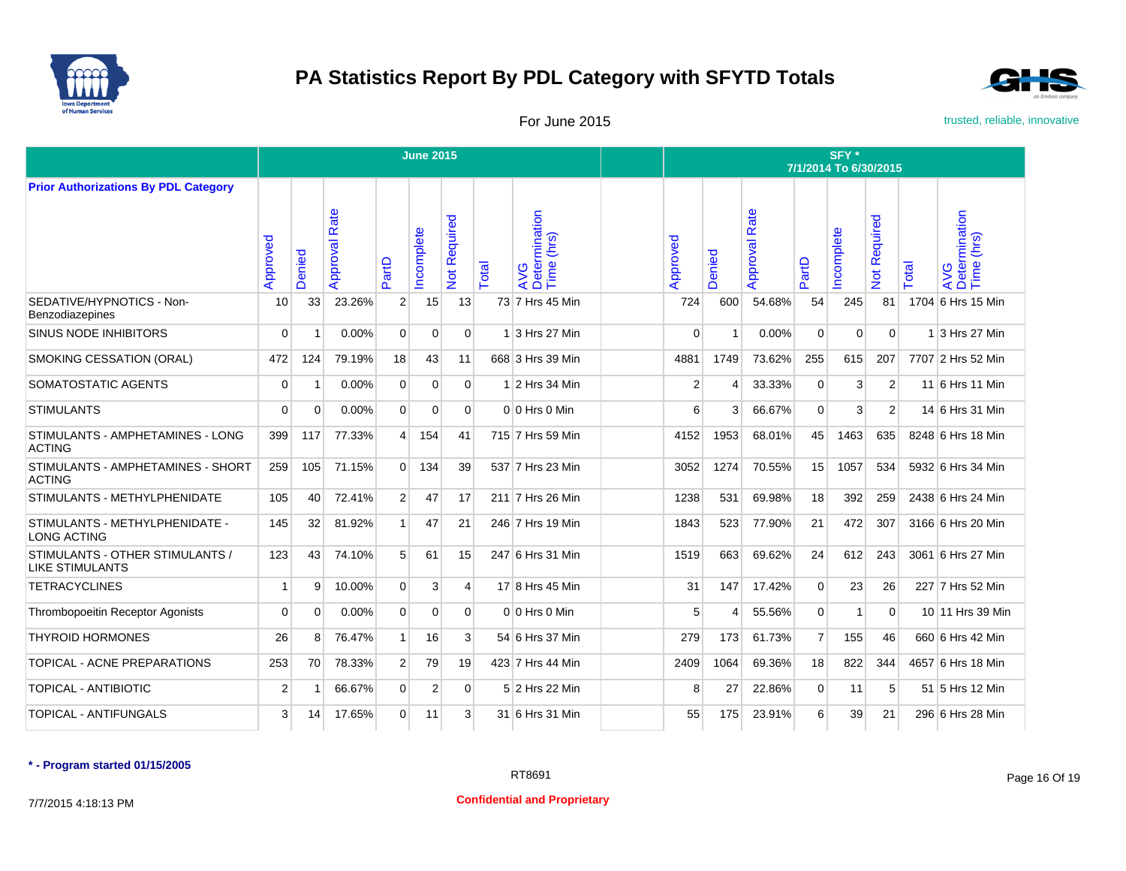



For June 2015 **For June 2015** trusted, reliable, innovative

|                                                           |             |          |                  |                | <b>June 2015</b> |                           |       |                                    | SFY*<br>7/1/2014 To 6/30/2015 |            |                      |                |            |                     |       |                                    |  |
|-----------------------------------------------------------|-------------|----------|------------------|----------------|------------------|---------------------------|-------|------------------------------------|-------------------------------|------------|----------------------|----------------|------------|---------------------|-------|------------------------------------|--|
| <b>Prior Authorizations By PDL Category</b>               |             |          |                  |                |                  |                           |       |                                    |                               |            |                      |                |            |                     |       |                                    |  |
|                                                           | Approved    | Denied   | Rate<br>Approval | PartD          | Incomplete       | Required<br>$\frac{5}{2}$ | Total | AVG<br>Determination<br>Time (hrs) | Approved                      | enied<br>∩ | <b>Approval Rate</b> | PartD          | Incomplete | <b>Vot Required</b> | Total | AVG<br>Determination<br>Time (hrs) |  |
| SEDATIVE/HYPNOTICS - Non-<br><b>Benzodiazepines</b>       | 10          | 33       | 23.26%           | $\overline{2}$ | 15               | 13                        |       | 73 7 Hrs 45 Min                    | 724                           | 600        | 54.68%               | 54             | 245        | 81                  |       | 1704 6 Hrs 15 Min                  |  |
| <b>SINUS NODE INHIBITORS</b>                              | $\Omega$    |          | 0.00%            | $\mathbf{0}$   | $\mathbf{0}$     | $\Omega$                  |       | 1 3 Hrs 27 Min                     | $\Omega$                      | -1         | 0.00%                | $\Omega$       | $\Omega$   | $\mathbf 0$         |       | 1 3 Hrs 27 Min                     |  |
| SMOKING CESSATION (ORAL)                                  | 472         | 124      | 79.19%           | 18             | 43               | 11                        |       | 668 3 Hrs 39 Min                   | 4881                          | 1749       | 73.62%               | 255            | 615        | 207                 |       | 7707 2 Hrs 52 Min                  |  |
| SOMATOSTATIC AGENTS                                       | $\mathbf 0$ |          | 0.00%            | $\mathbf{0}$   | $\Omega$         | $\Omega$                  |       | 1 2 Hrs 34 Min                     | $\overline{2}$                | 4          | 33.33%               | $\Omega$       | 3          | 2                   |       | 11 6 Hrs 11 Min                    |  |
| <b>STIMULANTS</b>                                         | $\mathbf 0$ | 0        | 0.00%            | $\overline{0}$ | $\Omega$         | $\Omega$                  |       | $0 0$ Hrs $0$ Min                  | 6                             | 3          | 66.67%               | $\overline{0}$ | 3          | 2 <sup>1</sup>      |       | 14 6 Hrs 31 Min                    |  |
| STIMULANTS - AMPHETAMINES - LONG<br><b>ACTING</b>         | 399         | 117      | 77.33%           | $\overline{4}$ | 154              | 41                        |       | 715 7 Hrs 59 Min                   | 4152                          | 1953       | 68.01%               | 45             | 1463       | 635                 |       | 8248 6 Hrs 18 Min                  |  |
| STIMULANTS - AMPHETAMINES - SHORT<br><b>ACTING</b>        | 259         | 105      | 71.15%           | $\overline{0}$ | 134              | 39                        |       | 537 7 Hrs 23 Min                   | 3052                          | 1274       | 70.55%               | 15             | 1057       | 534                 |       | 5932 6 Hrs 34 Min                  |  |
| STIMULANTS - METHYLPHENIDATE                              | 105         | 40       | 72.41%           | $\overline{2}$ | 47               | 17                        |       | 211 7 Hrs 26 Min                   | 1238                          | 531        | 69.98%               | 18             | 392        | 259                 |       | 2438 6 Hrs 24 Min                  |  |
| STIMULANTS - METHYLPHENIDATE -<br><b>LONG ACTING</b>      | 145         | 32       | 81.92%           | $\mathbf{1}$   | 47               | 21                        |       | 246 7 Hrs 19 Min                   | 1843                          | 523        | 77.90%               | 21             | 472        | 307                 |       | 3166 6 Hrs 20 Min                  |  |
| STIMULANTS - OTHER STIMULANTS /<br><b>LIKE STIMULANTS</b> | 123         | 43       | 74.10%           | 5              | 61               | 15                        |       | 247 6 Hrs 31 Min                   | 1519                          | 663        | 69.62%               | 24             | 612        | 243                 |       | 3061 6 Hrs 27 Min                  |  |
| <b>TETRACYCLINES</b>                                      | $\mathbf 1$ | 9        | 10.00%           | $\overline{0}$ | 3                | 4                         |       | 17 8 Hrs 45 Min                    | 31                            | 147        | 17.42%               | $\Omega$       | 23         | 26                  |       | 227 7 Hrs 52 Min                   |  |
| <b>Thrombopoeitin Receptor Agonists</b>                   | $\mathbf 0$ | $\Omega$ | 0.00%            | $\overline{0}$ | $\Omega$         | $\Omega$                  |       | $0 0$ Hrs 0 Min                    | 5                             | 4          | 55.56%               | $\overline{0}$ | 1          | $\Omega$            |       | 10 11 Hrs 39 Min                   |  |
| <b>THYROID HORMONES</b>                                   | 26          | 8        | 76.47%           | $\mathbf{1}$   | 16               | 3                         |       | 54 6 Hrs 37 Min                    | 279                           | 173        | 61.73%               | $\overline{7}$ | 155        | 46                  |       | 660 6 Hrs 42 Min                   |  |
| TOPICAL - ACNE PREPARATIONS                               | 253         | 70       | 78.33%           | $\overline{2}$ | 79               | 19                        |       | 423 7 Hrs 44 Min                   | 2409                          | 1064       | 69.36%               | 18             | 822        | 344                 |       | 4657 6 Hrs 18 Min                  |  |
| <b>TOPICAL - ANTIBIOTIC</b>                               | 2           |          | 66.67%           | $\overline{0}$ | 2                | $\Omega$                  |       | 5 2 Hrs 22 Min                     | 8                             | 27         | 22.86%               | 0              | 11         | 5                   |       | 51 5 Hrs 12 Min                    |  |
| <b>TOPICAL - ANTIFUNGALS</b>                              | 3           | 14       | 17.65%           | $\overline{0}$ | 11               | 3                         |       | 31 6 Hrs 31 Min                    | 55                            | 175        | 23.91%               | 6              | 39         | 21                  |       | 296 6 Hrs 28 Min                   |  |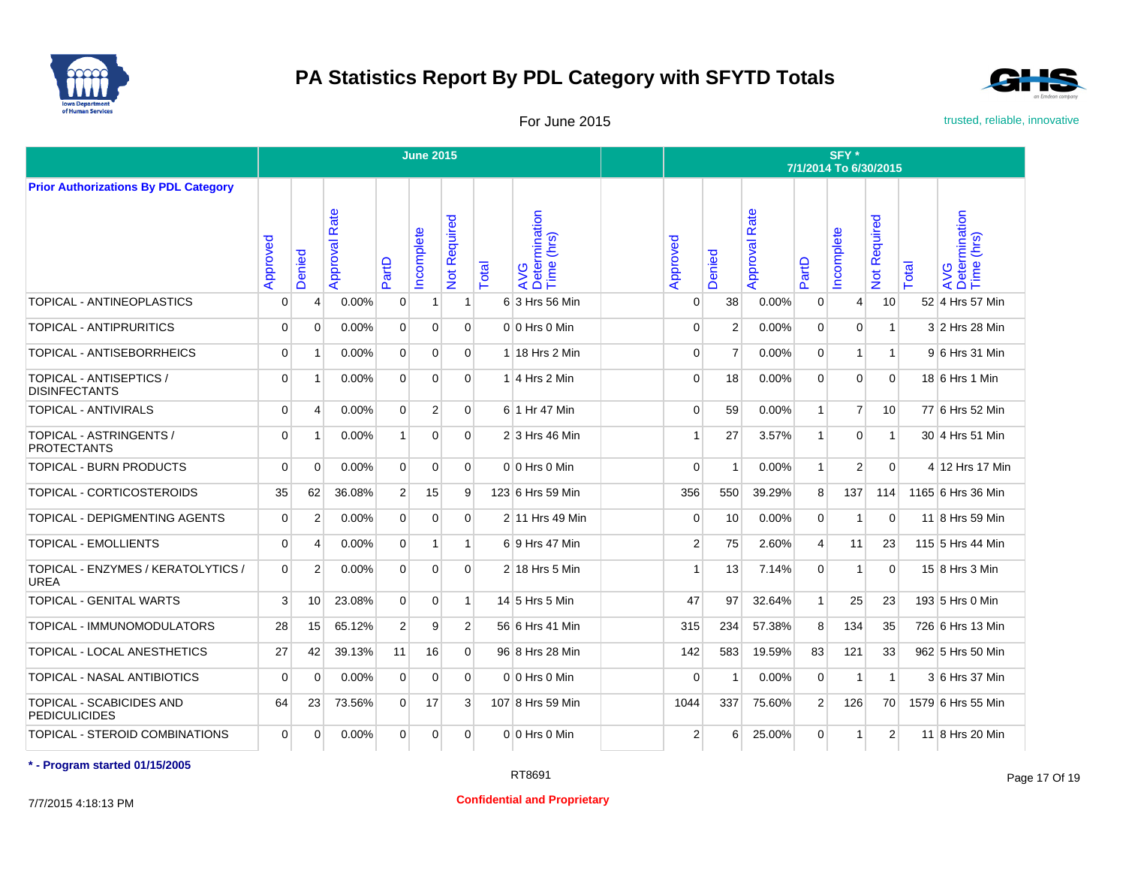



For June 2015 **For June 2015** trusted, reliable, innovative

|                                                   |             |                         |                      |                | <b>June 2015</b> |                |       |                                    | SFY*<br>7/1/2014 To 6/30/2015 |                |                      |                |                |                            |       |                                    |  |
|---------------------------------------------------|-------------|-------------------------|----------------------|----------------|------------------|----------------|-------|------------------------------------|-------------------------------|----------------|----------------------|----------------|----------------|----------------------------|-------|------------------------------------|--|
| <b>Prior Authorizations By PDL Category</b>       |             |                         |                      |                |                  |                |       |                                    |                               |                |                      |                |                |                            |       |                                    |  |
|                                                   | Approved    | Denied                  | <b>Approval Rate</b> | PartD          | ncomplete        | Not Required   | Total | AVG<br>Determination<br>Time (hrs) | Approved                      | Denied         | <b>Approval Rate</b> | PartD          | ncomplete      | Required<br>$\overline{5}$ | Total | AVG<br>Determination<br>Time (hrs) |  |
| TOPICAL - ANTINEOPLASTICS                         | $\Omega$    | $\overline{4}$          | 0.00%                | 0              | $\vert$ 1        | $\mathbf 1$    |       | 6 3 Hrs 56 Min                     | $\Omega$                      | 38             | 0.00%                | $\mathbf{0}$   | 4              | 10                         |       | 52 4 Hrs 57 Min                    |  |
| <b>TOPICAL - ANTIPRURITICS</b>                    | 0           | $\Omega$                | 0.00%                | $\overline{0}$ | $\overline{0}$   | $\Omega$       |       | $0 0$ Hrs $0$ Min                  | $\Omega$                      | 2              | 0.00%                | $\mathbf{0}$   | $\mathbf 0$    | $\mathbf{1}$               |       | 3 2 Hrs 28 Min                     |  |
| TOPICAL - ANTISEBORRHEICS                         | $\Omega$    | $\overline{\mathbf{1}}$ | 0.00%                | $\overline{0}$ | $\overline{0}$   | $\Omega$       |       | $1$ 18 Hrs 2 Min                   | $\Omega$                      | $\overline{7}$ | 0.00%                | $\overline{0}$ | $\mathbf{1}$   | $\mathbf{1}$               |       | 9 6 Hrs 31 Min                     |  |
| TOPICAL - ANTISEPTICS /<br><b>DISINFECTANTS</b>   | $\Omega$    | $\overline{\mathbf{1}}$ | 0.00%                | $\overline{0}$ | $\Omega$         | $\Omega$       |       | $1 4$ Hrs 2 Min                    | $\Omega$                      | 18             | 0.00%                | $\Omega$       | $\Omega$       | $\mathbf{0}$               |       | $18 6$ Hrs 1 Min                   |  |
| <b>TOPICAL - ANTIVIRALS</b>                       | $\Omega$    | 4                       | 0.00%                | $\Omega$       | $\overline{2}$   | $\Omega$       |       | 6 1 Hr 47 Min                      | $\Omega$                      | 59             | 0.00%                | $\mathbf{1}$   | $\overline{7}$ | 10 <sup>1</sup>            |       | 77 6 Hrs 52 Min                    |  |
| TOPICAL - ASTRINGENTS /<br><b>PROTECTANTS</b>     | $\Omega$    | $\overline{\mathbf{1}}$ | 0.00%                | $\mathbf{1}$   | $\Omega$         | $\Omega$       |       | $2 3$ Hrs 46 Min                   | -1                            | 27             | 3.57%                | $\mathbf{1}$   | $\mathbf 0$    | $\mathbf{1}$               |       | 30 4 Hrs 51 Min                    |  |
| <b>TOPICAL - BURN PRODUCTS</b>                    | $\mathbf 0$ | $\Omega$                | 0.00%                | $\overline{0}$ | $\mathbf{0}$     | $\Omega$       |       | $0 0$ Hrs $0$ Min                  | $\mathbf 0$                   | -1             | 0.00%                | 1              | 2              | $\mathbf{0}$               |       | 4 12 Hrs 17 Min                    |  |
| TOPICAL - CORTICOSTEROIDS                         | 35          | 62                      | 36.08%               | 2 <sup>1</sup> | 15               | 9              |       | 123 6 Hrs 59 Min                   | 356                           | 550            | 39.29%               | 8 <sup>1</sup> | 137            | 114                        |       | 1165 6 Hrs 36 Min                  |  |
| TOPICAL - DEPIGMENTING AGENTS                     | $\mathbf 0$ | 2                       | 0.00%                | $\overline{0}$ | $\overline{0}$   | $\Omega$       |       | 2 11 Hrs 49 Min                    | $\Omega$                      | 10             | 0.00%                | $\overline{0}$ | 1              | $\Omega$                   |       | 11 8 Hrs 59 Min                    |  |
| <b>TOPICAL - EMOLLIENTS</b>                       | $\Omega$    | Δ                       | 0.00%                | $\overline{0}$ | $\mathbf{1}$     | $\mathbf{1}$   |       | 6 9 Hrs 47 Min                     | 2 <sup>1</sup>                | 75             | 2.60%                | $\overline{4}$ | 11             | 23                         |       | 115 5 Hrs 44 Min                   |  |
| TOPICAL - ENZYMES / KERATOLYTICS /<br><b>UREA</b> | $\Omega$    | $\overline{2}$          | 0.00%                | $\Omega$       | $\Omega$         | $\Omega$       |       | $2 18$ Hrs 5 Min                   |                               | 13             | 7.14%                | $\Omega$       | 1              | $\Omega$                   |       | 15 8 Hrs 3 Min                     |  |
| <b>TOPICAL - GENITAL WARTS</b>                    | 3           | 10                      | 23.08%               | $\Omega$       | $\Omega$         | $\mathbf 1$    |       | 14 5 Hrs 5 Min                     | 47                            | 97             | 32.64%               | $\mathbf{1}$   | 25             | 23                         |       | 193 5 Hrs 0 Min                    |  |
| TOPICAL - IMMUNOMODULATORS                        | 28          | 15                      | 65.12%               | $\overline{2}$ | 9                | $\overline{2}$ |       | 56 6 Hrs 41 Min                    | 315                           | 234            | 57.38%               | 8              | 134            | 35                         |       | 726 6 Hrs 13 Min                   |  |
| TOPICAL - LOCAL ANESTHETICS                       | 27          | 42                      | 39.13%               | 11             | 16               | $\Omega$       |       | 96 8 Hrs 28 Min                    | 142                           | 583            | 19.59%               | 83             | 121            | 33                         |       | 962 5 Hrs 50 Min                   |  |
| TOPICAL - NASAL ANTIBIOTICS                       | $\mathbf 0$ | $\mathbf 0$             | 0.00%                | $\overline{0}$ | $\mathbf{0}$     | $\overline{0}$ |       | 0 0 Hrs 0 Min                      | $\mathbf 0$                   | $\overline{1}$ | 0.00%                | $\overline{0}$ | 1              | $\mathbf{1}$               |       | 3 6 Hrs 37 Min                     |  |
| TOPICAL - SCABICIDES AND<br><b>PEDICULICIDES</b>  | 64          | 23                      | 73.56%               | $\overline{0}$ | 17               | $\mathbf{3}$   |       | 107 8 Hrs 59 Min                   | 1044                          | 337            | 75.60%               | 2 <sup>1</sup> | 126            | 70                         |       | 1579 6 Hrs 55 Min                  |  |
| TOPICAL - STEROID COMBINATIONS                    | $\Omega$    | $\Omega$                | 0.00%                | $\overline{0}$ | $\overline{0}$   | $\Omega$       |       | $0 0$ Hrs $0$ Min                  | 2                             | 6              | 25.00%               | $\Omega$       | $\mathbf 1$    | 2                          |       | 11 8 Hrs 20 Min                    |  |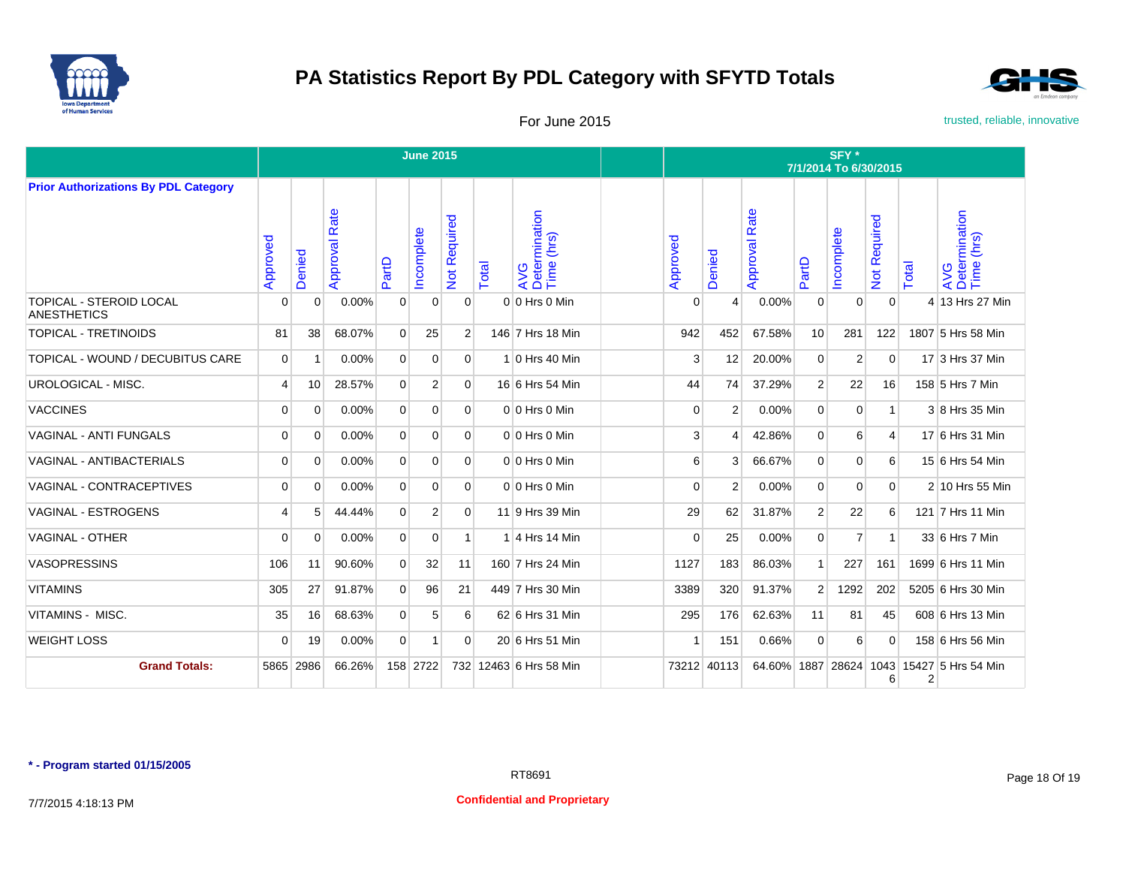



For June 2015 **For June 2015** trusted, reliable, innovative

|                                                      |                |                |                  |                | <b>June 2015</b> |                   |       |                                    | SFY*<br>7/1/2014 To 6/30/2015 |                |                      |                |                |                |                |                                    |  |  |
|------------------------------------------------------|----------------|----------------|------------------|----------------|------------------|-------------------|-------|------------------------------------|-------------------------------|----------------|----------------------|----------------|----------------|----------------|----------------|------------------------------------|--|--|
| <b>Prior Authorizations By PDL Category</b>          |                |                |                  |                |                  |                   |       |                                    |                               |                |                      |                |                |                |                |                                    |  |  |
|                                                      | Approved       | Denied         | Rate<br>Approval | artD           | ncomplete        | equired<br>Not Re | Total | AVG<br>Determination<br>Time (hrs) | ਠ<br>Approve                  | Denied         | <b>Approval Rate</b> | PartD          | ncomplete      | Not Required   | Total          | AVG<br>Determination<br>Time (hrs) |  |  |
| <b>TOPICAL - STEROID LOCAL</b><br><b>ANESTHETICS</b> | 0              | $\overline{0}$ | 0.00%            | $\mathbf 0$    | 0                | $\mathbf{0}$      |       | 0 0 Hrs 0 Min                      | $\Omega$                      | $\overline{4}$ | 0.00%                | $\mathbf 0$    | $\mathbf 0$    | $\mathbf{0}$   |                | 4 13 Hrs 27 Min                    |  |  |
| <b>TOPICAL - TRETINOIDS</b>                          | 81             | 38             | 68.07%           | $\overline{0}$ | 25               | $\overline{2}$    |       | 146 7 Hrs 18 Min                   | 942                           | 452            | 67.58%               | 10             | 281            | 122            |                | 1807 5 Hrs 58 Min                  |  |  |
| TOPICAL - WOUND / DECUBITUS CARE                     | $\overline{0}$ | -1             | 0.00%            | $\overline{0}$ | $\Omega$         | $\Omega$          |       | $1 0$ Hrs 40 Min                   | 3                             | 12             | 20.00%               | $\Omega$       | 2              | $\mathbf{0}$   |                | 17 3 Hrs 37 Min                    |  |  |
| UROLOGICAL - MISC.                                   | 4              | 10             | 28.57%           | $\overline{0}$ | $\overline{2}$   | $\Omega$          |       | 16 6 Hrs 54 Min                    | 44                            | 74             | 37.29%               | $\overline{2}$ | 22             | 16             |                | 158 5 Hrs 7 Min                    |  |  |
| <b>VACCINES</b>                                      | $\Omega$       | $\Omega$       | 0.00%            | $\overline{0}$ | $\Omega$         | $\Omega$          |       | 0 0 Hrs 0 Min                      | $\mathbf 0$                   | $\overline{2}$ | 0.00%                | $\Omega$       | $\Omega$       | $\mathbf{1}$   |                | 3 8 Hrs 35 Min                     |  |  |
| <b>VAGINAL - ANTI FUNGALS</b>                        | 0              | $\Omega$       | 0.00%            | $\overline{0}$ | $\Omega$         | $\Omega$          |       | $0 0$ Hrs $0$ Min                  | 3                             | Δ              | 42.86%               | $\Omega$       | 6              | $\overline{4}$ |                | 17 6 Hrs 31 Min                    |  |  |
| VAGINAL - ANTIBACTERIALS                             | $\overline{0}$ | $\Omega$       | 0.00%            | $\Omega$       | $\Omega$         | $\Omega$          |       | 0 0 Hrs 0 Min                      | 6                             | 3              | 66.67%               | $\Omega$       | $\mathbf 0$    | 6              |                | 15 6 Hrs 54 Min                    |  |  |
| VAGINAL - CONTRACEPTIVES                             | 0              | 0              | 0.00%            | $\overline{0}$ | $\Omega$         | $\Omega$          |       | $0 0$ Hrs $0$ Min                  | $\Omega$                      | 2              | 0.00%                | $\Omega$       | $\mathbf 0$    | $\overline{0}$ |                | 2 10 Hrs 55 Min                    |  |  |
| VAGINAL - ESTROGENS                                  | 4              | 5              | 44.44%           | $\overline{0}$ | $\overline{2}$   | $\mathbf{0}$      |       | 11 9 Hrs 39 Min                    | 29                            | 62             | 31.87%               | $\overline{2}$ | 22             | 6              |                | 121 7 Hrs 11 Min                   |  |  |
| <b>VAGINAL - OTHER</b>                               | $\Omega$       | $\Omega$       | 0.00%            | $\overline{0}$ | $\overline{0}$   |                   |       | 1 4 Hrs 14 Min                     | $\Omega$                      | 25             | 0.00%                | $\overline{0}$ | $\overline{7}$ | $\mathbf{1}$   |                | 33 6 Hrs 7 Min                     |  |  |
| <b>VASOPRESSINS</b>                                  | 106            | 11             | 90.60%           | $\overline{0}$ | 32               | 11                |       | 160 7 Hrs 24 Min                   | 1127                          | 183            | 86.03%               | $\mathbf{1}$   | 227            | 161            |                | 1699 6 Hrs 11 Min                  |  |  |
| <b>VITAMINS</b>                                      | 305            | 27             | 91.87%           | $\overline{0}$ | 96               | 21                |       | 449 7 Hrs 30 Min                   | 3389                          | 320            | 91.37%               | $\overline{2}$ | 1292           | 202            |                | 5205 6 Hrs 30 Min                  |  |  |
| <b>VITAMINS - MISC.</b>                              | 35             | 16             | 68.63%           | $\overline{0}$ | 5                | 6                 |       | 62 6 Hrs 31 Min                    | 295                           | 176            | 62.63%               | 11             | 81             | 45             |                | 608 6 Hrs 13 Min                   |  |  |
| <b>WEIGHT LOSS</b>                                   | $\mathbf 0$    | 19             | 0.00%            | $\overline{0}$ | 1                | $\overline{0}$    |       | 20 6 Hrs 51 Min                    |                               | 151            | 0.66%                | $\mathbf 0$    | 6              | $\mathbf{0}$   |                | 158 6 Hrs 56 Min                   |  |  |
| <b>Grand Totals:</b>                                 | 5865           | 2986           | 66.26%           |                | 158 2722         |                   |       | 732 12463 6 Hrs 58 Min             | 73212 40113                   |                | 64.60% 1887          |                |                | 6              | $\overline{2}$ | 28624 1043 15427 5 Hrs 54 Min      |  |  |